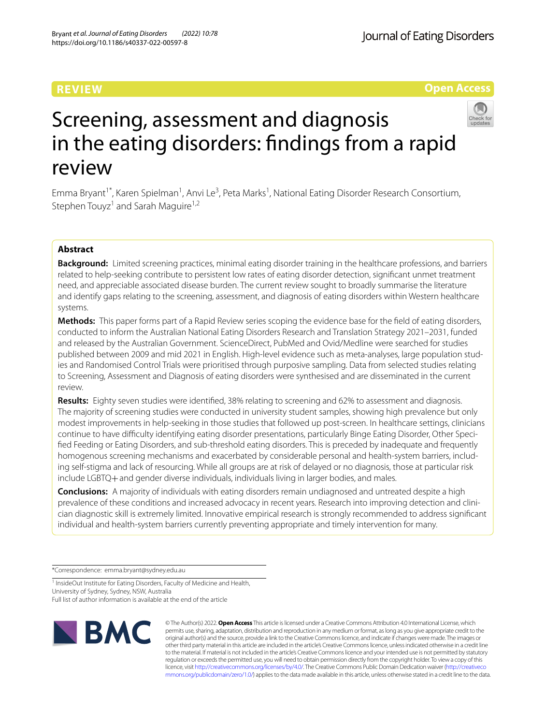# **REVIEW**

**Open Access**



# Screening, assessment and diagnosis in the eating disorders: fndings from a rapid review

Emma Bryant<sup>1\*</sup>, Karen Spielman<sup>1</sup>, Anvi Le<sup>3</sup>, Peta Marks<sup>1</sup>, National Eating Disorder Research Consortium, Stephen Touyz<sup>1</sup> and Sarah Maguire<sup>1,2</sup>

# **Abstract**

**Background:** Limited screening practices, minimal eating disorder training in the healthcare professions, and barriers related to help-seeking contribute to persistent low rates of eating disorder detection, signifcant unmet treatment need, and appreciable associated disease burden. The current review sought to broadly summarise the literature and identify gaps relating to the screening, assessment, and diagnosis of eating disorders within Western healthcare systems.

**Methods:** This paper forms part of a Rapid Review series scoping the evidence base for the feld of eating disorders, conducted to inform the Australian National Eating Disorders Research and Translation Strategy 2021–2031, funded and released by the Australian Government. ScienceDirect, PubMed and Ovid/Medline were searched for studies published between 2009 and mid 2021 in English. High-level evidence such as meta-analyses, large population studies and Randomised Control Trials were prioritised through purposive sampling. Data from selected studies relating to Screening, Assessment and Diagnosis of eating disorders were synthesised and are disseminated in the current review.

**Results:** Eighty seven studies were identifed, 38% relating to screening and 62% to assessment and diagnosis. The majority of screening studies were conducted in university student samples, showing high prevalence but only modest improvements in help-seeking in those studies that followed up post-screen. In healthcare settings, clinicians continue to have difculty identifying eating disorder presentations, particularly Binge Eating Disorder, Other Specifed Feeding or Eating Disorders, and sub-threshold eating disorders. This is preceded by inadequate and frequently homogenous screening mechanisms and exacerbated by considerable personal and health-system barriers, including self-stigma and lack of resourcing. While all groups are at risk of delayed or no diagnosis, those at particular risk include LGBTQ+and gender diverse individuals, individuals living in larger bodies, and males.

**Conclusions:** A majority of individuals with eating disorders remain undiagnosed and untreated despite a high prevalence of these conditions and increased advocacy in recent years. Research into improving detection and clinician diagnostic skill is extremely limited. Innovative empirical research is strongly recommended to address signifcant individual and health-system barriers currently preventing appropriate and timely intervention for many.

\*Correspondence: emma.bryant@sydney.edu.au

<sup>1</sup> InsideOut Institute for Eating Disorders, Faculty of Medicine and Health, University of Sydney, Sydney, NSW, Australia

Full list of author information is available at the end of the article



© The Author(s) 2022. **Open Access** This article is licensed under a Creative Commons Attribution 4.0 International License, which permits use, sharing, adaptation, distribution and reproduction in any medium or format, as long as you give appropriate credit to the original author(s) and the source, provide a link to the Creative Commons licence, and indicate if changes were made. The images or other third party material in this article are included in the article's Creative Commons licence, unless indicated otherwise in a credit line to the material. If material is not included in the article's Creative Commons licence and your intended use is not permitted by statutory regulation or exceeds the permitted use, you will need to obtain permission directly from the copyright holder. To view a copy of this licence, visit [http://creativecommons.org/licenses/by/4.0/.](http://creativecommons.org/licenses/by/4.0/) The Creative Commons Public Domain Dedication waiver ([http://creativeco](http://creativecommons.org/publicdomain/zero/1.0/) [mmons.org/publicdomain/zero/1.0/](http://creativecommons.org/publicdomain/zero/1.0/)) applies to the data made available in this article, unless otherwise stated in a credit line to the data.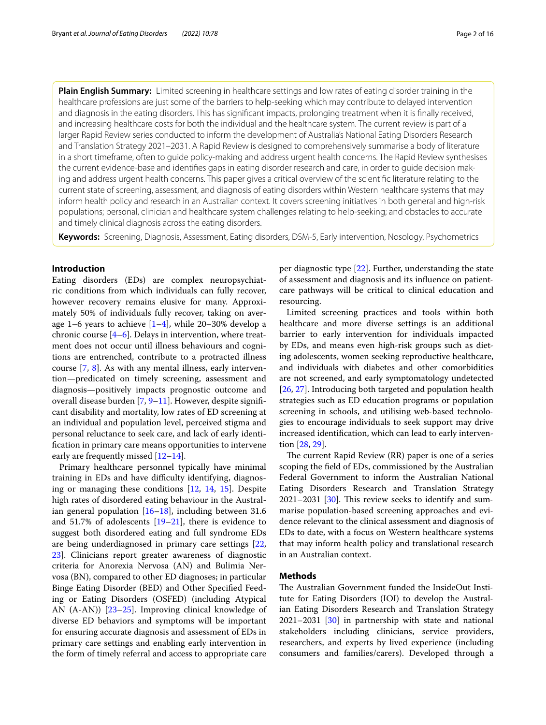**Plain English Summary:** Limited screening in healthcare settings and low rates of eating disorder training in the healthcare professions are just some of the barriers to help-seeking which may contribute to delayed intervention and diagnosis in the eating disorders. This has signifcant impacts, prolonging treatment when it is fnally received, and increasing healthcare costs for both the individual and the healthcare system. The current review is part of a larger Rapid Review series conducted to inform the development of Australia's National Eating Disorders Research and Translation Strategy 2021–2031. A Rapid Review is designed to comprehensively summarise a body of literature in a short timeframe, often to guide policy-making and address urgent health concerns. The Rapid Review synthesises the current evidence-base and identifes gaps in eating disorder research and care, in order to guide decision making and address urgent health concerns. This paper gives a critical overview of the scientifc literature relating to the current state of screening, assessment, and diagnosis of eating disorders within Western healthcare systems that may inform health policy and research in an Australian context. It covers screening initiatives in both general and high-risk populations; personal, clinician and healthcare system challenges relating to help-seeking; and obstacles to accurate and timely clinical diagnosis across the eating disorders.

**Keywords:** Screening, Diagnosis, Assessment, Eating disorders, DSM-5, Early intervention, Nosology, Psychometrics

# **Introduction**

Eating disorders (EDs) are complex neuropsychiatric conditions from which individuals can fully recover, however recovery remains elusive for many. Approximately 50% of individuals fully recover, taking on average 1–6 years to achieve [[1](#page-12-0)[–4](#page-12-1)], while 20–30% develop a chronic course [[4](#page-12-1)[–6](#page-12-2)]. Delays in intervention, where treatment does not occur until illness behaviours and cognitions are entrenched, contribute to a protracted illness course [\[7,](#page-12-3) [8](#page-12-4)]. As with any mental illness, early intervention—predicated on timely screening, assessment and diagnosis—positively impacts prognostic outcome and overall disease burden [[7](#page-12-3), [9–](#page-12-5)[11\]](#page-13-0). However, despite signifcant disability and mortality, low rates of ED screening at an individual and population level, perceived stigma and personal reluctance to seek care, and lack of early identifcation in primary care means opportunities to intervene early are frequently missed [[12–](#page-13-1)[14](#page-13-2)].

Primary healthcare personnel typically have minimal training in EDs and have difficulty identifying, diagnosing or managing these conditions [\[12](#page-13-1), [14](#page-13-2), [15\]](#page-13-3). Despite high rates of disordered eating behaviour in the Australian general population [\[16](#page-13-4)[–18\]](#page-13-5), including between 31.6 and 51.7% of adolescents  $[19-21]$  $[19-21]$  $[19-21]$ , there is evidence to suggest both disordered eating and full syndrome EDs are being underdiagnosed in primary care settings [\[22](#page-13-8), [23\]](#page-13-9). Clinicians report greater awareness of diagnostic criteria for Anorexia Nervosa (AN) and Bulimia Nervosa (BN), compared to other ED diagnoses; in particular Binge Eating Disorder (BED) and Other Specifed Feeding or Eating Disorders (OSFED) (including Atypical AN (A-AN)) [[23–](#page-13-9)[25](#page-13-10)]. Improving clinical knowledge of diverse ED behaviors and symptoms will be important for ensuring accurate diagnosis and assessment of EDs in primary care settings and enabling early intervention in the form of timely referral and access to appropriate care per diagnostic type [\[22\]](#page-13-8). Further, understanding the state of assessment and diagnosis and its infuence on patientcare pathways will be critical to clinical education and resourcing.

Limited screening practices and tools within both healthcare and more diverse settings is an additional barrier to early intervention for individuals impacted by EDs, and means even high-risk groups such as dieting adolescents, women seeking reproductive healthcare, and individuals with diabetes and other comorbidities are not screened, and early symptomatology undetected [[26,](#page-13-11) [27](#page-13-12)]. Introducing both targeted and population health strategies such as ED education programs or population screening in schools, and utilising web-based technologies to encourage individuals to seek support may drive increased identifcation, which can lead to early intervention [[28,](#page-13-13) [29\]](#page-13-14).

The current Rapid Review  $(RR)$  paper is one of a series scoping the feld of EDs, commissioned by the Australian Federal Government to inform the Australian National Eating Disorders Research and Translation Strategy  $2021-2031$  [ $30$ ]. This review seeks to identify and summarise population-based screening approaches and evidence relevant to the clinical assessment and diagnosis of EDs to date, with a focus on Western healthcare systems that may inform health policy and translational research in an Australian context.

# **Methods**

The Australian Government funded the InsideOut Institute for Eating Disorders (IOI) to develop the Australian Eating Disorders Research and Translation Strategy 2021–2031 [[30](#page-13-15)] in partnership with state and national stakeholders including clinicians, service providers, researchers, and experts by lived experience (including consumers and families/carers). Developed through a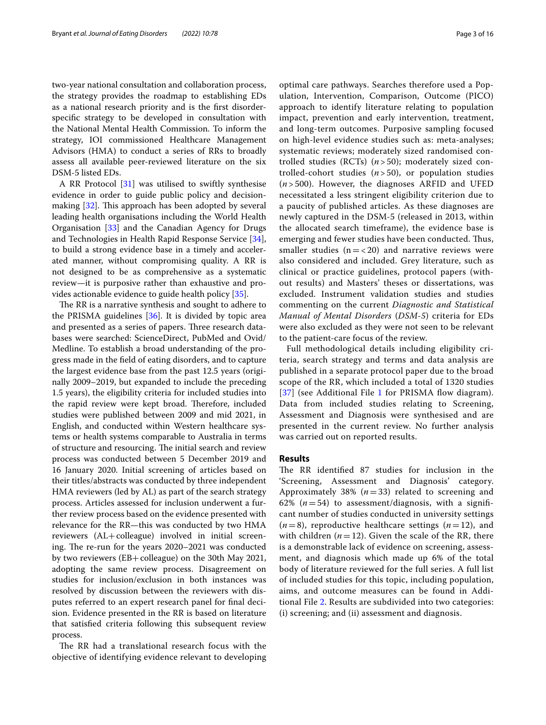two-year national consultation and collaboration process, the strategy provides the roadmap to establishing EDs as a national research priority and is the frst disorderspecifc strategy to be developed in consultation with the National Mental Health Commission. To inform the strategy, IOI commissioned Healthcare Management Advisors (HMA) to conduct a series of RRs to broadly assess all available peer-reviewed literature on the six DSM-5 listed EDs.

A RR Protocol [\[31](#page-13-16)] was utilised to swiftly synthesise evidence in order to guide public policy and decisionmaking  $[32]$  $[32]$ . This approach has been adopted by several leading health organisations including the World Health Organisation [\[33](#page-13-18)] and the Canadian Agency for Drugs and Technologies in Health Rapid Response Service [\[34](#page-13-19)], to build a strong evidence base in a timely and accelerated manner, without compromising quality. A RR is not designed to be as comprehensive as a systematic review—it is purposive rather than exhaustive and provides actionable evidence to guide health policy [\[35\]](#page-13-20).

The RR is a narrative synthesis and sought to adhere to the PRISMA guidelines [\[36\]](#page-13-21). It is divided by topic area and presented as a series of papers. Three research databases were searched: ScienceDirect, PubMed and Ovid/ Medline. To establish a broad understanding of the progress made in the feld of eating disorders, and to capture the largest evidence base from the past 12.5 years (originally 2009–2019, but expanded to include the preceding 1.5 years), the eligibility criteria for included studies into the rapid review were kept broad. Therefore, included studies were published between 2009 and mid 2021, in English, and conducted within Western healthcare systems or health systems comparable to Australia in terms of structure and resourcing. The initial search and review process was conducted between 5 December 2019 and 16 January 2020. Initial screening of articles based on their titles/abstracts was conducted by three independent HMA reviewers (led by AL) as part of the search strategy process. Articles assessed for inclusion underwent a further review process based on the evidence presented with relevance for the RR—this was conducted by two HMA reviewers (AL+colleague) involved in initial screening. The re-run for the years 2020–2021 was conducted by two reviewers (EB+colleague) on the 30th May 2021, adopting the same review process. Disagreement on studies for inclusion/exclusion in both instances was resolved by discussion between the reviewers with disputes referred to an expert research panel for fnal decision. Evidence presented in the RR is based on literature that satisfed criteria following this subsequent review process.

The RR had a translational research focus with the objective of identifying evidence relevant to developing

optimal care pathways. Searches therefore used a Population, Intervention, Comparison, Outcome (PICO) approach to identify literature relating to population impact, prevention and early intervention, treatment, and long-term outcomes. Purposive sampling focused on high-level evidence studies such as: meta-analyses; systematic reviews; moderately sized randomised controlled studies (RCTs) (*n* > 50); moderately sized controlled-cohort studies (*n* > 50), or population studies (*n* > 500). However, the diagnoses ARFID and UFED necessitated a less stringent eligibility criterion due to a paucity of published articles. As these diagnoses are newly captured in the DSM-5 (released in 2013, within the allocated search timeframe), the evidence base is emerging and fewer studies have been conducted. Thus, smaller studies  $(n = < 20)$  and narrative reviews were also considered and included. Grey literature, such as clinical or practice guidelines, protocol papers (without results) and Masters' theses or dissertations, was excluded. Instrument validation studies and studies commenting on the current *Diagnostic and Statistical Manual of Mental Disorders* (*DSM-5*) criteria for EDs were also excluded as they were not seen to be relevant to the patient-care focus of the review.

Full methodological details including eligibility criteria, search strategy and terms and data analysis are published in a separate protocol paper due to the broad scope of the RR, which included a total of 1320 studies [[37](#page-13-22)] (see Additional File [1](#page-11-0) for PRISMA flow diagram). Data from included studies relating to Screening, Assessment and Diagnosis were synthesised and are presented in the current review. No further analysis was carried out on reported results.

# **Results**

The RR identified 87 studies for inclusion in the 'Screening, Assessment and Diagnosis' category. Approximately 38% (*n*=33) related to screening and 62%  $(n=54)$  to assessment/diagnosis, with a significant number of studies conducted in university settings  $(n=8)$ , reproductive healthcare settings  $(n=12)$ , and with children  $(n=12)$ . Given the scale of the RR, there is a demonstrable lack of evidence on screening, assessment, and diagnosis which made up 6% of the total body of literature reviewed for the full series. A full list of included studies for this topic, including population, aims, and outcome measures can be found in Additional File [2](#page-11-1). Results are subdivided into two categories: (i) screening; and (ii) assessment and diagnosis.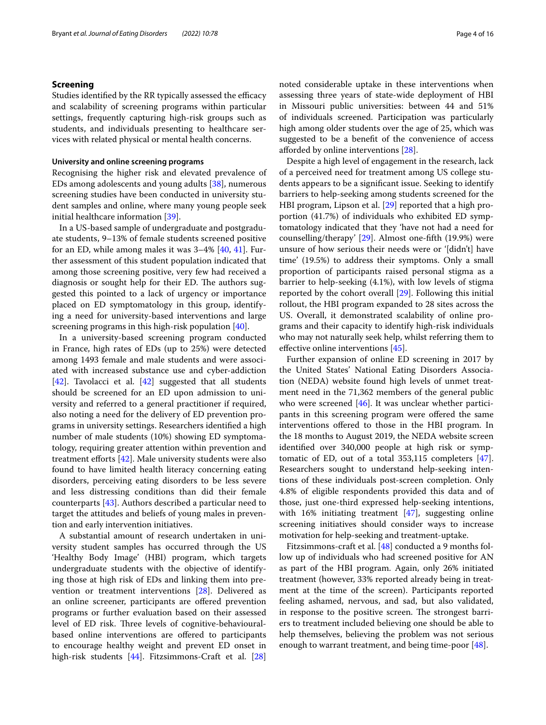# **Screening**

Studies identified by the RR typically assessed the efficacy and scalability of screening programs within particular settings, frequently capturing high-risk groups such as students, and individuals presenting to healthcare services with related physical or mental health concerns.

#### **University and online screening programs**

Recognising the higher risk and elevated prevalence of EDs among adolescents and young adults [\[38](#page-13-23)], numerous screening studies have been conducted in university student samples and online, where many young people seek initial healthcare information [\[39\]](#page-13-24).

In a US-based sample of undergraduate and postgraduate students, 9–13% of female students screened positive for an ED, while among males it was 3–4% [\[40,](#page-13-25) [41\]](#page-13-26). Further assessment of this student population indicated that among those screening positive, very few had received a diagnosis or sought help for their ED. The authors suggested this pointed to a lack of urgency or importance placed on ED symptomatology in this group, identifying a need for university-based interventions and large screening programs in this high-risk population [[40\]](#page-13-25).

In a university-based screening program conducted in France, high rates of EDs (up to 25%) were detected among 1493 female and male students and were associated with increased substance use and cyber-addiction [[42\]](#page-13-27). Tavolacci et al. [\[42](#page-13-27)] suggested that all students should be screened for an ED upon admission to university and referred to a general practitioner if required, also noting a need for the delivery of ED prevention programs in university settings. Researchers identifed a high number of male students (10%) showing ED symptomatology, requiring greater attention within prevention and treatment efforts [[42](#page-13-27)]. Male university students were also found to have limited health literacy concerning eating disorders, perceiving eating disorders to be less severe and less distressing conditions than did their female counterparts [[43\]](#page-13-28). Authors described a particular need to target the attitudes and beliefs of young males in prevention and early intervention initiatives.

A substantial amount of research undertaken in university student samples has occurred through the US 'Healthy Body Image' (HBI) program, which targets undergraduate students with the objective of identifying those at high risk of EDs and linking them into prevention or treatment interventions [\[28](#page-13-13)]. Delivered as an online screener, participants are ofered prevention programs or further evaluation based on their assessed level of ED risk. Three levels of cognitive-behaviouralbased online interventions are offered to participants to encourage healthy weight and prevent ED onset in high-risk students [\[44](#page-13-29)]. Fitzsimmons-Craft et al. [[28](#page-13-13)]

noted considerable uptake in these interventions when assessing three years of state-wide deployment of HBI in Missouri public universities: between 44 and 51% of individuals screened. Participation was particularly high among older students over the age of 25, which was suggested to be a beneft of the convenience of access aforded by online interventions [[28\]](#page-13-13).

Despite a high level of engagement in the research, lack of a perceived need for treatment among US college students appears to be a signifcant issue. Seeking to identify barriers to help-seeking among students screened for the HBI program, Lipson et al. [\[29](#page-13-14)] reported that a high proportion (41.7%) of individuals who exhibited ED symptomatology indicated that they 'have not had a need for counselling/therapy' [[29](#page-13-14)]. Almost one-ffth (19.9%) were unsure of how serious their needs were or '[didn't] have time' (19.5%) to address their symptoms. Only a small proportion of participants raised personal stigma as a barrier to help-seeking (4.1%), with low levels of stigma reported by the cohort overall [[29](#page-13-14)]. Following this initial rollout, the HBI program expanded to 28 sites across the US. Overall, it demonstrated scalability of online programs and their capacity to identify high-risk individuals who may not naturally seek help, whilst referring them to efective online interventions [[45\]](#page-13-30).

Further expansion of online ED screening in 2017 by the United States' National Eating Disorders Association (NEDA) website found high levels of unmet treatment need in the 71,362 members of the general public who were screened [\[46\]](#page-13-31). It was unclear whether participants in this screening program were offered the same interventions ofered to those in the HBI program. In the 18 months to August 2019, the NEDA website screen identifed over 340,000 people at high risk or symptomatic of ED, out of a total 353,115 completers [\[47](#page-13-32)]. Researchers sought to understand help-seeking intentions of these individuals post-screen completion. Only 4.8% of eligible respondents provided this data and of those, just one-third expressed help-seeking intentions, with 16% initiating treatment [\[47](#page-13-32)], suggesting online screening initiatives should consider ways to increase motivation for help-seeking and treatment-uptake.

Fitzsimmons-craft et al. [[48](#page-13-33)] conducted a 9 months follow up of individuals who had screened positive for AN as part of the HBI program. Again, only 26% initiated treatment (however, 33% reported already being in treatment at the time of the screen). Participants reported feeling ashamed, nervous, and sad, but also validated, in response to the positive screen. The strongest barriers to treatment included believing one should be able to help themselves, believing the problem was not serious enough to warrant treatment, and being time-poor [[48](#page-13-33)].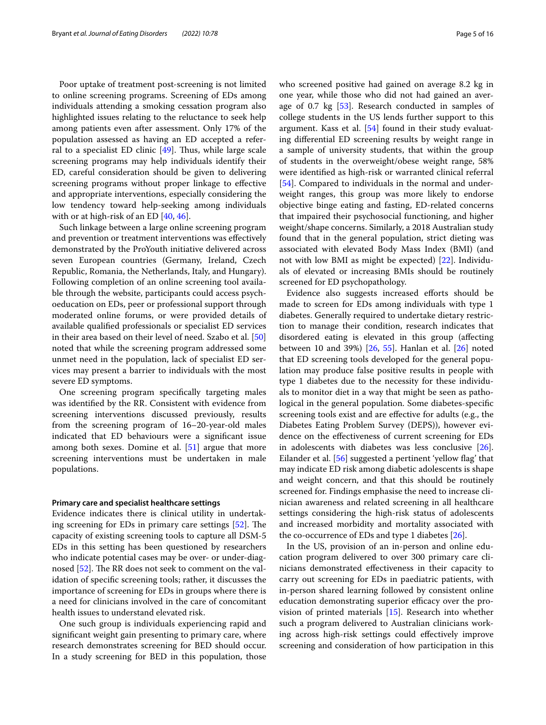Poor uptake of treatment post-screening is not limited to online screening programs. Screening of EDs among individuals attending a smoking cessation program also highlighted issues relating to the reluctance to seek help among patients even after assessment. Only 17% of the population assessed as having an ED accepted a referral to a specialist ED clinic  $[49]$ . Thus, while large scale screening programs may help individuals identify their ED, careful consideration should be given to delivering screening programs without proper linkage to efective and appropriate interventions, especially considering the low tendency toward help-seeking among individuals with or at high-risk of an ED [[40](#page-13-25), [46\]](#page-13-31).

Such linkage between a large online screening program and prevention or treatment interventions was efectively demonstrated by the ProYouth initiative delivered across seven European countries (Germany, Ireland, Czech Republic, Romania, the Netherlands, Italy, and Hungary). Following completion of an online screening tool available through the website, participants could access psychoeducation on EDs, peer or professional support through moderated online forums, or were provided details of available qualifed professionals or specialist ED services in their area based on their level of need. Szabo et al. [[50](#page-14-0)] noted that while the screening program addressed some unmet need in the population, lack of specialist ED services may present a barrier to individuals with the most severe ED symptoms.

One screening program specifcally targeting males was identifed by the RR. Consistent with evidence from screening interventions discussed previously, results from the screening program of 16–20-year-old males indicated that ED behaviours were a signifcant issue among both sexes. Domine et al. [[51\]](#page-14-1) argue that more screening interventions must be undertaken in male populations.

# **Primary care and specialist healthcare settings**

Evidence indicates there is clinical utility in undertaking screening for EDs in primary care settings  $[52]$  $[52]$  $[52]$ . The capacity of existing screening tools to capture all DSM-5 EDs in this setting has been questioned by researchers who indicate potential cases may be over- or under-diag-nosed [[52\]](#page-14-2). The RR does not seek to comment on the validation of specifc screening tools; rather, it discusses the importance of screening for EDs in groups where there is a need for clinicians involved in the care of concomitant health issues to understand elevated risk.

One such group is individuals experiencing rapid and signifcant weight gain presenting to primary care, where research demonstrates screening for BED should occur. In a study screening for BED in this population, those who screened positive had gained on average 8.2 kg in one year, while those who did not had gained an average of 0.7 kg [[53](#page-14-3)]. Research conducted in samples of college students in the US lends further support to this argument. Kass et al. [[54](#page-14-4)] found in their study evaluating diferential ED screening results by weight range in a sample of university students, that within the group of students in the overweight/obese weight range, 58% were identifed as high-risk or warranted clinical referral [[54\]](#page-14-4). Compared to individuals in the normal and underweight ranges, this group was more likely to endorse objective binge eating and fasting, ED-related concerns that impaired their psychosocial functioning, and higher weight/shape concerns. Similarly, a 2018 Australian study found that in the general population, strict dieting was associated with elevated Body Mass Index (BMI) (and not with low BMI as might be expected) [[22\]](#page-13-8). Individuals of elevated or increasing BMIs should be routinely screened for ED psychopathology.

Evidence also suggests increased efforts should be made to screen for EDs among individuals with type 1 diabetes. Generally required to undertake dietary restriction to manage their condition, research indicates that disordered eating is elevated in this group (afecting between 10 and 39%) [\[26,](#page-13-11) [55\]](#page-14-5). Hanlan et al. [\[26](#page-13-11)] noted that ED screening tools developed for the general population may produce false positive results in people with type 1 diabetes due to the necessity for these individuals to monitor diet in a way that might be seen as pathological in the general population. Some diabetes-specifc screening tools exist and are efective for adults (e.g., the Diabetes Eating Problem Survey (DEPS)), however evidence on the efectiveness of current screening for EDs in adolescents with diabetes was less conclusive [\[26](#page-13-11)]. Eilander et al. [[56](#page-14-6)] suggested a pertinent 'yellow flag' that may indicate ED risk among diabetic adolescents is shape and weight concern, and that this should be routinely screened for. Findings emphasise the need to increase clinician awareness and related screening in all healthcare settings considering the high-risk status of adolescents and increased morbidity and mortality associated with the co-occurrence of EDs and type 1 diabetes  $[26]$  $[26]$ .

In the US, provision of an in-person and online education program delivered to over 300 primary care clinicians demonstrated efectiveness in their capacity to carry out screening for EDs in paediatric patients, with in-person shared learning followed by consistent online education demonstrating superior efficacy over the provision of printed materials [\[15](#page-13-3)]. Research into whether such a program delivered to Australian clinicians working across high-risk settings could efectively improve screening and consideration of how participation in this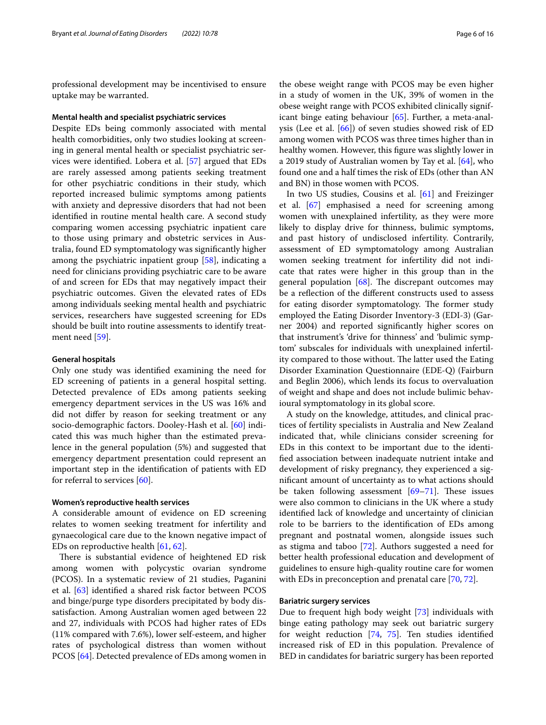professional development may be incentivised to ensure uptake may be warranted.

#### **Mental health and specialist psychiatric services**

Despite EDs being commonly associated with mental health comorbidities, only two studies looking at screening in general mental health or specialist psychiatric services were identifed. Lobera et al. [\[57](#page-14-7)] argued that EDs are rarely assessed among patients seeking treatment for other psychiatric conditions in their study, which reported increased bulimic symptoms among patients with anxiety and depressive disorders that had not been identifed in routine mental health care. A second study comparing women accessing psychiatric inpatient care to those using primary and obstetric services in Australia, found ED symptomatology was signifcantly higher among the psychiatric inpatient group [\[58](#page-14-8)], indicating a need for clinicians providing psychiatric care to be aware of and screen for EDs that may negatively impact their psychiatric outcomes. Given the elevated rates of EDs among individuals seeking mental health and psychiatric services, researchers have suggested screening for EDs should be built into routine assessments to identify treatment need [[59\]](#page-14-9).

### **General hospitals**

Only one study was identifed examining the need for ED screening of patients in a general hospital setting. Detected prevalence of EDs among patients seeking emergency department services in the US was 16% and did not difer by reason for seeking treatment or any socio-demographic factors. Dooley-Hash et al. [[60\]](#page-14-10) indicated this was much higher than the estimated prevalence in the general population (5%) and suggested that emergency department presentation could represent an important step in the identifcation of patients with ED for referral to services [[60](#page-14-10)].

#### **Women's reproductive health services**

A considerable amount of evidence on ED screening relates to women seeking treatment for infertility and gynaecological care due to the known negative impact of EDs on reproductive health [\[61](#page-14-11), [62\]](#page-14-12).

There is substantial evidence of heightened ED risk among women with polycystic ovarian syndrome (PCOS). In a systematic review of 21 studies, Paganini et al. [[63\]](#page-14-13) identifed a shared risk factor between PCOS and binge/purge type disorders precipitated by body dissatisfaction. Among Australian women aged between 22 and 27, individuals with PCOS had higher rates of EDs (11% compared with 7.6%), lower self-esteem, and higher rates of psychological distress than women without PCOS [\[64](#page-14-14)]. Detected prevalence of EDs among women in

the obese weight range with PCOS may be even higher in a study of women in the UK, 39% of women in the obese weight range with PCOS exhibited clinically significant binge eating behaviour [[65\]](#page-14-15). Further, a meta-analysis (Lee et al. [\[66](#page-14-16)]) of seven studies showed risk of ED among women with PCOS was three times higher than in healthy women. However, this fgure was slightly lower in a 2019 study of Australian women by Tay et al. [\[64\]](#page-14-14), who found one and a half times the risk of EDs (other than AN and BN) in those women with PCOS.

In two US studies, Cousins et al. [\[61\]](#page-14-11) and Freizinger et al. [\[67](#page-14-17)] emphasised a need for screening among women with unexplained infertility, as they were more likely to display drive for thinness, bulimic symptoms, and past history of undisclosed infertility. Contrarily, assessment of ED symptomatology among Australian women seeking treatment for infertility did not indicate that rates were higher in this group than in the general population  $[68]$  $[68]$ . The discrepant outcomes may be a refection of the diferent constructs used to assess for eating disorder symptomatology. The former study employed the Eating Disorder Inventory-3 (EDI-3) (Garner 2004) and reported signifcantly higher scores on that instrument's 'drive for thinness' and 'bulimic symptom' subscales for individuals with unexplained infertility compared to those without. The latter used the Eating Disorder Examination Questionnaire (EDE-Q) (Fairburn and Beglin 2006), which lends its focus to overvaluation of weight and shape and does not include bulimic behavioural symptomatology in its global score.

A study on the knowledge, attitudes, and clinical practices of fertility specialists in Australia and New Zealand indicated that, while clinicians consider screening for EDs in this context to be important due to the identifed association between inadequate nutrient intake and development of risky pregnancy, they experienced a signifcant amount of uncertainty as to what actions should be taken following assessment  $[69-71]$  $[69-71]$  $[69-71]$ . These issues were also common to clinicians in the UK where a study identifed lack of knowledge and uncertainty of clinician role to be barriers to the identifcation of EDs among pregnant and postnatal women, alongside issues such as stigma and taboo [\[72](#page-14-21)]. Authors suggested a need for better health professional education and development of guidelines to ensure high-quality routine care for women with EDs in preconception and prenatal care [\[70,](#page-14-22) [72](#page-14-21)].

# **Bariatric surgery services**

Due to frequent high body weight [\[73](#page-14-23)] individuals with binge eating pathology may seek out bariatric surgery for weight reduction [[74,](#page-14-24) [75\]](#page-14-25). Ten studies identifed increased risk of ED in this population. Prevalence of BED in candidates for bariatric surgery has been reported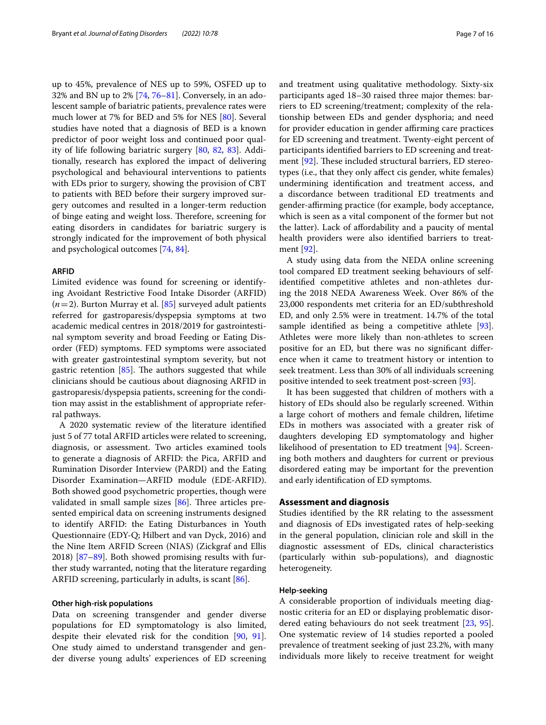up to 45%, prevalence of NES up to 59%, OSFED up to 32% and BN up to 2% [\[74](#page-14-24), [76–](#page-14-26)[81](#page-14-27)]. Conversely, in an adolescent sample of bariatric patients, prevalence rates were much lower at 7% for BED and 5% for NES [[80\]](#page-14-28). Several studies have noted that a diagnosis of BED is a known predictor of poor weight loss and continued poor quality of life following bariatric surgery [\[80](#page-14-28), [82](#page-14-29), [83\]](#page-14-30). Additionally, research has explored the impact of delivering psychological and behavioural interventions to patients with EDs prior to surgery, showing the provision of CBT to patients with BED before their surgery improved surgery outcomes and resulted in a longer-term reduction of binge eating and weight loss. Therefore, screening for eating disorders in candidates for bariatric surgery is strongly indicated for the improvement of both physical and psychological outcomes [\[74,](#page-14-24) [84](#page-14-31)].

# **ARFID**

Limited evidence was found for screening or identifying Avoidant Restrictive Food Intake Disorder (ARFID) (*n*=2). Burton Murray et al. [\[85\]](#page-14-32) surveyed adult patients referred for gastroparesis/dyspepsia symptoms at two academic medical centres in 2018/2019 for gastrointestinal symptom severity and broad Feeding or Eating Disorder (FED) symptoms. FED symptoms were associated with greater gastrointestinal symptom severity, but not gastric retention  $[85]$  $[85]$ . The authors suggested that while clinicians should be cautious about diagnosing ARFID in gastroparesis/dyspepsia patients, screening for the condition may assist in the establishment of appropriate referral pathways.

A 2020 systematic review of the literature identifed just 5 of 77 total ARFID articles were related to screening, diagnosis, or assessment. Two articles examined tools to generate a diagnosis of ARFID: the Pica, ARFID and Rumination Disorder Interview (PARDI) and the Eating Disorder Examination—ARFID module (EDE-ARFID). Both showed good psychometric properties, though were validated in small sample sizes  $[86]$  $[86]$  $[86]$ . Three articles presented empirical data on screening instruments designed to identify ARFID: the Eating Disturbances in Youth Questionnaire (EDY-Q; Hilbert and van Dyck, 2016) and the Nine Item ARFID Screen (NIAS) (Zickgraf and Ellis 2018) [\[87–](#page-14-34)[89\]](#page-14-35). Both showed promising results with further study warranted, noting that the literature regarding ARFID screening, particularly in adults, is scant [\[86](#page-14-33)].

#### **Other high‑risk populations**

Data on screening transgender and gender diverse populations for ED symptomatology is also limited, despite their elevated risk for the condition [\[90,](#page-14-36) [91](#page-14-37)]. One study aimed to understand transgender and gender diverse young adults' experiences of ED screening

and treatment using qualitative methodology. Sixty-six participants aged 18–30 raised three major themes: barriers to ED screening/treatment; complexity of the relationship between EDs and gender dysphoria; and need for provider education in gender affirming care practices for ED screening and treatment. Twenty-eight percent of participants identifed barriers to ED screening and treatment  $[92]$  $[92]$ . These included structural barriers, ED stereotypes (i.e., that they only afect cis gender, white females) undermining identifcation and treatment access, and a discordance between traditional ED treatments and gender-affirming practice (for example, body acceptance, which is seen as a vital component of the former but not the latter). Lack of afordability and a paucity of mental health providers were also identifed barriers to treatment [[92](#page-14-38)].

A study using data from the NEDA online screening tool compared ED treatment seeking behaviours of selfidentifed competitive athletes and non-athletes during the 2018 NEDA Awareness Week. Over 86% of the 23,000 respondents met criteria for an ED/subthreshold ED, and only 2.5% were in treatment. 14.7% of the total sample identifed as being a competitive athlete [\[93](#page-14-39)]. Athletes were more likely than non-athletes to screen positive for an ED, but there was no signifcant diference when it came to treatment history or intention to seek treatment. Less than 30% of all individuals screening positive intended to seek treatment post-screen [[93\]](#page-14-39).

It has been suggested that children of mothers with a history of EDs should also be regularly screened. Within a large cohort of mothers and female children, lifetime EDs in mothers was associated with a greater risk of daughters developing ED symptomatology and higher likelihood of presentation to ED treatment [[94\]](#page-15-0). Screening both mothers and daughters for current or previous disordered eating may be important for the prevention and early identifcation of ED symptoms.

## **Assessment and diagnosis**

Studies identifed by the RR relating to the assessment and diagnosis of EDs investigated rates of help-seeking in the general population, clinician role and skill in the diagnostic assessment of EDs, clinical characteristics (particularly within sub-populations), and diagnostic heterogeneity.

# **Help‑seeking**

A considerable proportion of individuals meeting diagnostic criteria for an ED or displaying problematic disor-dered eating behaviours do not seek treatment [[23,](#page-13-9) [95](#page-15-1)]. One systematic review of 14 studies reported a pooled prevalence of treatment seeking of just 23.2%, with many individuals more likely to receive treatment for weight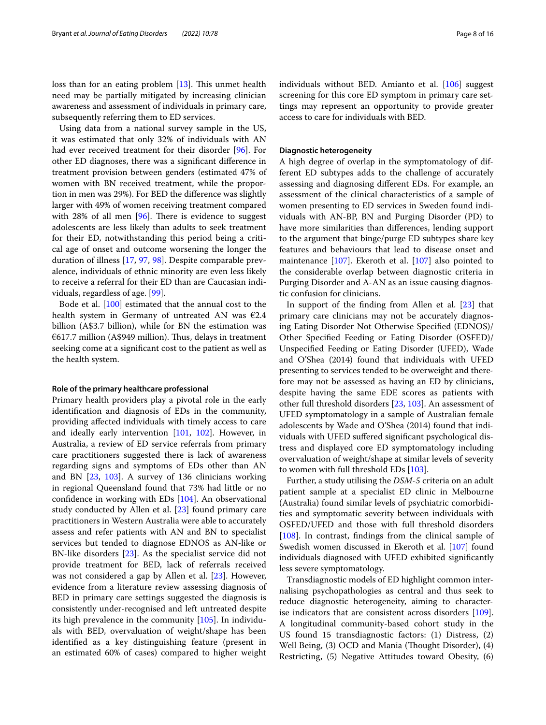loss than for an eating problem  $[13]$  $[13]$ . This unmet health need may be partially mitigated by increasing clinician awareness and assessment of individuals in primary care, subsequently referring them to ED services.

Using data from a national survey sample in the US, it was estimated that only 32% of individuals with AN had ever received treatment for their disorder [[96\]](#page-15-2). For other ED diagnoses, there was a signifcant diference in treatment provision between genders (estimated 47% of women with BN received treatment, while the proportion in men was 29%). For BED the diference was slightly larger with 49% of women receiving treatment compared with 28% of all men  $[96]$  $[96]$ . There is evidence to suggest adolescents are less likely than adults to seek treatment for their ED, notwithstanding this period being a critical age of onset and outcome worsening the longer the duration of illness [[17,](#page-13-36) [97](#page-15-3), [98](#page-15-4)]. Despite comparable prevalence, individuals of ethnic minority are even less likely to receive a referral for their ED than are Caucasian individuals, regardless of age. [\[99](#page-15-5)].

Bode et al. [[100](#page-15-6)] estimated that the annual cost to the health system in Germany of untreated AN was  $E2.4$ billion (A\$3.7 billion), while for BN the estimation was  $€617.7$  million (A\$949 million). Thus, delays in treatment seeking come at a signifcant cost to the patient as well as the health system.

# **Role of the primary healthcare professional**

Primary health providers play a pivotal role in the early identifcation and diagnosis of EDs in the community, providing afected individuals with timely access to care and ideally early intervention [[101,](#page-15-7) [102\]](#page-15-8). However, in Australia, a review of ED service referrals from primary care practitioners suggested there is lack of awareness regarding signs and symptoms of EDs other than AN and BN [[23](#page-13-9), [103](#page-15-9)]. A survey of 136 clinicians working in regional Queensland found that 73% had little or no confdence in working with EDs [\[104](#page-15-10)]. An observational study conducted by Allen et al. [\[23](#page-13-9)] found primary care practitioners in Western Australia were able to accurately assess and refer patients with AN and BN to specialist services but tended to diagnose EDNOS as AN-like or BN-like disorders [\[23](#page-13-9)]. As the specialist service did not provide treatment for BED, lack of referrals received was not considered a gap by Allen et al. [\[23](#page-13-9)]. However, evidence from a literature review assessing diagnosis of BED in primary care settings suggested the diagnosis is consistently under-recognised and left untreated despite its high prevalence in the community [\[105\]](#page-15-11). In individuals with BED, overvaluation of weight/shape has been identifed as a key distinguishing feature (present in an estimated 60% of cases) compared to higher weight individuals without BED. Amianto et al. [[106\]](#page-15-12) suggest screening for this core ED symptom in primary care settings may represent an opportunity to provide greater access to care for individuals with BED.

#### **Diagnostic heterogeneity**

A high degree of overlap in the symptomatology of different ED subtypes adds to the challenge of accurately assessing and diagnosing diferent EDs. For example, an assessment of the clinical characteristics of a sample of women presenting to ED services in Sweden found individuals with AN-BP, BN and Purging Disorder (PD) to have more similarities than diferences, lending support to the argument that binge/purge ED subtypes share key features and behaviours that lead to disease onset and maintenance [\[107](#page-15-13)]. Ekeroth et al. [[107\]](#page-15-13) also pointed to the considerable overlap between diagnostic criteria in Purging Disorder and A-AN as an issue causing diagnostic confusion for clinicians.

In support of the fnding from Allen et al. [[23\]](#page-13-9) that primary care clinicians may not be accurately diagnosing Eating Disorder Not Otherwise Specifed (EDNOS)/ Other Specifed Feeding or Eating Disorder (OSFED)/ Unspecifed Feeding or Eating Disorder (UFED), Wade and O'Shea (2014) found that individuals with UFED presenting to services tended to be overweight and therefore may not be assessed as having an ED by clinicians, despite having the same EDE scores as patients with other full threshold disorders [\[23](#page-13-9), [103\]](#page-15-9). An assessment of UFED symptomatology in a sample of Australian female adolescents by Wade and O'Shea (2014) found that individuals with UFED sufered signifcant psychological distress and displayed core ED symptomatology including overvaluation of weight/shape at similar levels of severity to women with full threshold EDs [[103](#page-15-9)].

Further, a study utilising the *DSM-5* criteria on an adult patient sample at a specialist ED clinic in Melbourne (Australia) found similar levels of psychiatric comorbidities and symptomatic severity between individuals with OSFED/UFED and those with full threshold disorders [[108\]](#page-15-14). In contrast, findings from the clinical sample of Swedish women discussed in Ekeroth et al. [\[107\]](#page-15-13) found individuals diagnosed with UFED exhibited signifcantly less severe symptomatology.

Transdiagnostic models of ED highlight common internalising psychopathologies as central and thus seek to reduce diagnostic heterogeneity, aiming to characterise indicators that are consistent across disorders [\[109](#page-15-15)]. A longitudinal community-based cohort study in the US found 15 transdiagnostic factors: (1) Distress, (2) Well Being, (3) OCD and Mania (Thought Disorder), (4) Restricting, (5) Negative Attitudes toward Obesity, (6)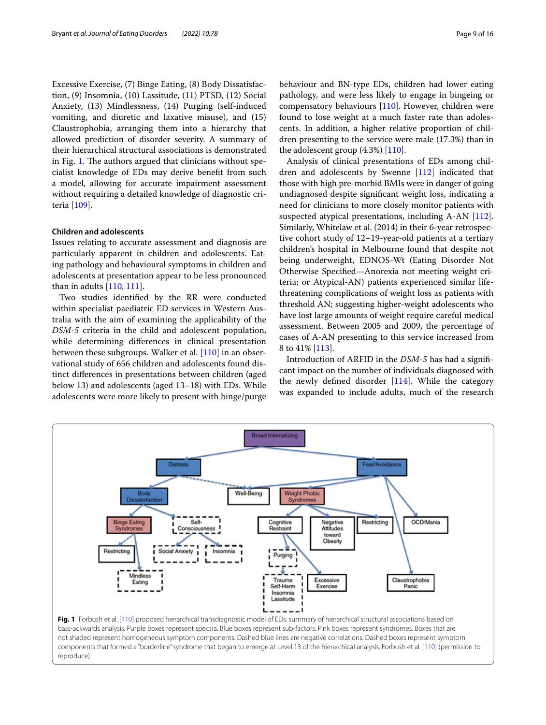Excessive Exercise, (7) Binge Eating, (8) Body Dissatisfaction, (9) Insomnia, (10) Lassitude, (11) PTSD, (12) Social Anxiety, (13) Mindlessness, (14) Purging (self-induced vomiting, and diuretic and laxative misuse), and (15) Claustrophobia, arranging them into a hierarchy that allowed prediction of disorder severity. A summary of their hierarchical structural associations is demonstrated in Fig. [1](#page-8-0). The authors argued that clinicians without specialist knowledge of EDs may derive beneft from such a model, allowing for accurate impairment assessment without requiring a detailed knowledge of diagnostic criteria [[109\]](#page-15-15).

#### **Children and adolescents**

Issues relating to accurate assessment and diagnosis are particularly apparent in children and adolescents. Eating pathology and behavioural symptoms in children and adolescents at presentation appear to be less pronounced than in adults [\[110,](#page-15-16) [111](#page-15-17)].

Two studies identifed by the RR were conducted within specialist paediatric ED services in Western Australia with the aim of examining the applicability of the *DSM-5* criteria in the child and adolescent population, while determining diferences in clinical presentation between these subgroups. Walker et al. [[110](#page-15-16)] in an observational study of 656 children and adolescents found distinct diferences in presentations between children (aged below 13) and adolescents (aged 13–18) with EDs. While adolescents were more likely to present with binge/purge

behaviour and BN-type EDs, children had lower eating pathology, and were less likely to engage in bingeing or compensatory behaviours [[110\]](#page-15-16). However, children were found to lose weight at a much faster rate than adolescents. In addition, a higher relative proportion of children presenting to the service were male (17.3%) than in the adolescent group  $(4.3%)$  [[110\]](#page-15-16).

Analysis of clinical presentations of EDs among children and adolescents by Swenne [\[112\]](#page-15-18) indicated that those with high pre-morbid BMIs were in danger of going undiagnosed despite signifcant weight loss, indicating a need for clinicians to more closely monitor patients with suspected atypical presentations, including A-AN [\[112](#page-15-18)]. Similarly, Whitelaw et al. (2014) in their 6-year retrospective cohort study of 12–19-year-old patients at a tertiary children's hospital in Melbourne found that despite not being underweight, EDNOS-Wt (Eating Disorder Not Otherwise Specifed—Anorexia not meeting weight criteria; or Atypical-AN) patients experienced similar lifethreatening complications of weight loss as patients with threshold AN; suggesting higher-weight adolescents who have lost large amounts of weight require careful medical assessment. Between 2005 and 2009, the percentage of cases of A-AN presenting to this service increased from 8 to 41% [[113\]](#page-15-19).

Introduction of ARFID in the *DSM-5* has had a signifcant impact on the number of individuals diagnosed with the newly defined disorder  $[114]$ . While the category was expanded to include adults, much of the research

<span id="page-8-0"></span>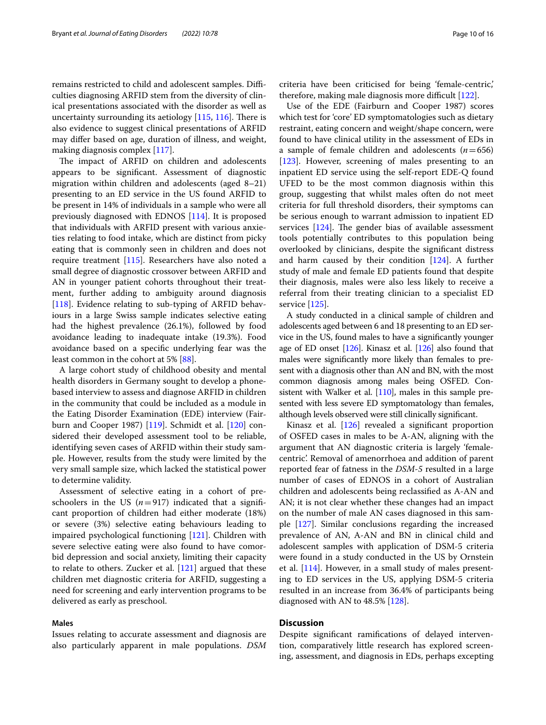remains restricted to child and adolescent samples. Difficulties diagnosing ARFID stem from the diversity of clinical presentations associated with the disorder as well as uncertainty surrounding its aetiology  $[115, 116]$  $[115, 116]$  $[115, 116]$ . There is also evidence to suggest clinical presentations of ARFID may difer based on age, duration of illness, and weight, making diagnosis complex [\[117\]](#page-15-23).

The impact of ARFID on children and adolescents appears to be signifcant. Assessment of diagnostic migration within children and adolescents (aged 8–21) presenting to an ED service in the US found ARFID to be present in 14% of individuals in a sample who were all previously diagnosed with EDNOS [[114\]](#page-15-20). It is proposed that individuals with ARFID present with various anxieties relating to food intake, which are distinct from picky eating that is commonly seen in children and does not require treatment [\[115\]](#page-15-21). Researchers have also noted a small degree of diagnostic crossover between ARFID and AN in younger patient cohorts throughout their treatment, further adding to ambiguity around diagnosis [[118\]](#page-15-24). Evidence relating to sub-typing of ARFID behaviours in a large Swiss sample indicates selective eating had the highest prevalence (26.1%), followed by food avoidance leading to inadequate intake (19.3%). Food avoidance based on a specifc underlying fear was the least common in the cohort at 5% [[88\]](#page-14-40).

A large cohort study of childhood obesity and mental health disorders in Germany sought to develop a phonebased interview to assess and diagnose ARFID in children in the community that could be included as a module in the Eating Disorder Examination (EDE) interview (Fairburn and Cooper 1987) [\[119\]](#page-15-25). Schmidt et al. [[120](#page-15-26)] considered their developed assessment tool to be reliable, identifying seven cases of ARFID within their study sample. However, results from the study were limited by the very small sample size, which lacked the statistical power to determine validity.

Assessment of selective eating in a cohort of preschoolers in the US  $(n=917)$  indicated that a significant proportion of children had either moderate (18%) or severe (3%) selective eating behaviours leading to impaired psychological functioning [\[121](#page-15-27)]. Children with severe selective eating were also found to have comorbid depression and social anxiety, limiting their capacity to relate to others. Zucker et al. [[121\]](#page-15-27) argued that these children met diagnostic criteria for ARFID, suggesting a need for screening and early intervention programs to be delivered as early as preschool.

# **Males**

Issues relating to accurate assessment and diagnosis are also particularly apparent in male populations. *DSM* criteria have been criticised for being 'female-centric,' therefore, making male diagnosis more difficult  $[122]$  $[122]$ .

Use of the EDE (Fairburn and Cooper 1987) scores which test for 'core' ED symptomatologies such as dietary restraint, eating concern and weight/shape concern, were found to have clinical utility in the assessment of EDs in a sample of female children and adolescents (*n*=656) [[123\]](#page-15-29). However, screening of males presenting to an inpatient ED service using the self-report EDE-Q found UFED to be the most common diagnosis within this group, suggesting that whilst males often do not meet criteria for full threshold disorders, their symptoms can be serious enough to warrant admission to inpatient ED services  $[124]$  $[124]$ . The gender bias of available assessment tools potentially contributes to this population being overlooked by clinicians, despite the signifcant distress and harm caused by their condition [\[124\]](#page-15-30). A further study of male and female ED patients found that despite their diagnosis, males were also less likely to receive a referral from their treating clinician to a specialist ED service [[125](#page-15-31)].

A study conducted in a clinical sample of children and adolescents aged between 6 and 18 presenting to an ED service in the US, found males to have a signifcantly younger age of ED onset [[126](#page-15-32)]. Kinasz et al. [\[126](#page-15-32)] also found that males were signifcantly more likely than females to present with a diagnosis other than AN and BN, with the most common diagnosis among males being OSFED. Consistent with Walker et al. [[110](#page-15-16)], males in this sample presented with less severe ED symptomatology than females, although levels observed were still clinically signifcant.

Kinasz et al. [\[126\]](#page-15-32) revealed a significant proportion of OSFED cases in males to be A-AN, aligning with the argument that AN diagnostic criteria is largely 'femalecentric'. Removal of amenorrhoea and addition of parent reported fear of fatness in the *DSM-5* resulted in a large number of cases of EDNOS in a cohort of Australian children and adolescents being reclassifed as A-AN and AN; it is not clear whether these changes had an impact on the number of male AN cases diagnosed in this sample [\[127\]](#page-15-33). Similar conclusions regarding the increased prevalence of AN, A-AN and BN in clinical child and adolescent samples with application of DSM-5 criteria were found in a study conducted in the US by Ornstein et al. [[114](#page-15-20)]. However, in a small study of males presenting to ED services in the US, applying DSM-5 criteria resulted in an increase from 36.4% of participants being diagnosed with AN to 48.5% [\[128\]](#page-15-34).

# **Discussion**

Despite signifcant ramifcations of delayed intervention, comparatively little research has explored screening, assessment, and diagnosis in EDs, perhaps excepting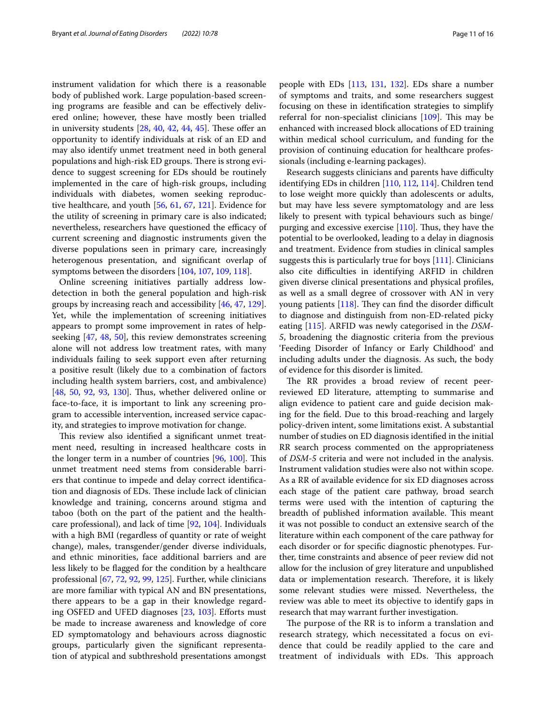instrument validation for which there is a reasonable body of published work. Large population-based screening programs are feasible and can be efectively delivered online; however, these have mostly been trialled in university students  $[28, 40, 42, 44, 45]$  $[28, 40, 42, 44, 45]$  $[28, 40, 42, 44, 45]$  $[28, 40, 42, 44, 45]$  $[28, 40, 42, 44, 45]$  $[28, 40, 42, 44, 45]$  $[28, 40, 42, 44, 45]$  $[28, 40, 42, 44, 45]$  $[28, 40, 42, 44, 45]$ . These offer an opportunity to identify individuals at risk of an ED and may also identify unmet treatment need in both general populations and high-risk ED groups. There is strong evidence to suggest screening for EDs should be routinely implemented in the care of high-risk groups, including individuals with diabetes, women seeking reproductive healthcare, and youth [[56](#page-14-6), [61,](#page-14-11) [67,](#page-14-17) [121\]](#page-15-27). Evidence for the utility of screening in primary care is also indicated; nevertheless, researchers have questioned the efficacy of current screening and diagnostic instruments given the diverse populations seen in primary care, increasingly heterogenous presentation, and signifcant overlap of symptoms between the disorders [[104,](#page-15-10) [107,](#page-15-13) [109](#page-15-15), [118](#page-15-24)].

Online screening initiatives partially address lowdetection in both the general population and high-risk groups by increasing reach and accessibility [\[46,](#page-13-31) [47,](#page-13-32) [129](#page-15-35)]. Yet, while the implementation of screening initiatives appears to prompt some improvement in rates of helpseeking [[47,](#page-13-32) [48](#page-13-33), [50\]](#page-14-0), this review demonstrates screening alone will not address low treatment rates, with many individuals failing to seek support even after returning a positive result (likely due to a combination of factors including health system barriers, cost, and ambivalence) [[48,](#page-13-33) [50,](#page-14-0) [92](#page-14-38), [93](#page-14-39), [130](#page-15-36)]. Thus, whether delivered online or face-to-face, it is important to link any screening program to accessible intervention, increased service capacity, and strategies to improve motivation for change.

This review also identified a significant unmet treatment need, resulting in increased healthcare costs in the longer term in a number of countries  $[96, 100]$  $[96, 100]$  $[96, 100]$  $[96, 100]$ . This unmet treatment need stems from considerable barriers that continue to impede and delay correct identifcation and diagnosis of EDs. These include lack of clinician knowledge and training, concerns around stigma and taboo (both on the part of the patient and the healthcare professional), and lack of time [\[92,](#page-14-38) [104\]](#page-15-10). Individuals with a high BMI (regardless of quantity or rate of weight change), males, transgender/gender diverse individuals, and ethnic minorities, face additional barriers and are less likely to be fagged for the condition by a healthcare professional [[67,](#page-14-17) [72](#page-14-21), [92,](#page-14-38) [99](#page-15-5), [125\]](#page-15-31). Further, while clinicians are more familiar with typical AN and BN presentations, there appears to be a gap in their knowledge regard-ing OSFED and UFED diagnoses [\[23](#page-13-9), [103\]](#page-15-9). Efforts must be made to increase awareness and knowledge of core ED symptomatology and behaviours across diagnostic groups, particularly given the signifcant representation of atypical and subthreshold presentations amongst people with EDs [\[113,](#page-15-19) [131](#page-15-37), [132\]](#page-15-38). EDs share a number of symptoms and traits, and some researchers suggest focusing on these in identifcation strategies to simplify referral for non-specialist clinicians  $[109]$ . This may be enhanced with increased block allocations of ED training within medical school curriculum, and funding for the provision of continuing education for healthcare professionals (including e-learning packages).

Research suggests clinicians and parents have difficulty identifying EDs in children [\[110](#page-15-16), [112](#page-15-18), [114\]](#page-15-20). Children tend to lose weight more quickly than adolescents or adults, but may have less severe symptomatology and are less likely to present with typical behaviours such as binge/ purging and excessive exercise  $[110]$  $[110]$  $[110]$ . Thus, they have the potential to be overlooked, leading to a delay in diagnosis and treatment. Evidence from studies in clinical samples suggests this is particularly true for boys  $[111]$ . Clinicians also cite difficulties in identifying ARFID in children given diverse clinical presentations and physical profles, as well as a small degree of crossover with AN in very young patients  $[118]$  $[118]$ . They can find the disorder difficult to diagnose and distinguish from non-ED-related picky eating [[115\]](#page-15-21). ARFID was newly categorised in the *DSM-5*, broadening the diagnostic criteria from the previous 'Feeding Disorder of Infancy or Early Childhood' and including adults under the diagnosis. As such, the body of evidence for this disorder is limited.

The RR provides a broad review of recent peerreviewed ED literature, attempting to summarise and align evidence to patient care and guide decision making for the feld. Due to this broad-reaching and largely policy-driven intent, some limitations exist. A substantial number of studies on ED diagnosis identifed in the initial RR search process commented on the appropriateness of *DSM-5* criteria and were not included in the analysis. Instrument validation studies were also not within scope. As a RR of available evidence for six ED diagnoses across each stage of the patient care pathway, broad search terms were used with the intention of capturing the breadth of published information available. This meant it was not possible to conduct an extensive search of the literature within each component of the care pathway for each disorder or for specifc diagnostic phenotypes. Further, time constraints and absence of peer review did not allow for the inclusion of grey literature and unpublished data or implementation research. Therefore, it is likely some relevant studies were missed. Nevertheless, the review was able to meet its objective to identify gaps in research that may warrant further investigation.

The purpose of the RR is to inform a translation and research strategy, which necessitated a focus on evidence that could be readily applied to the care and treatment of individuals with EDs. This approach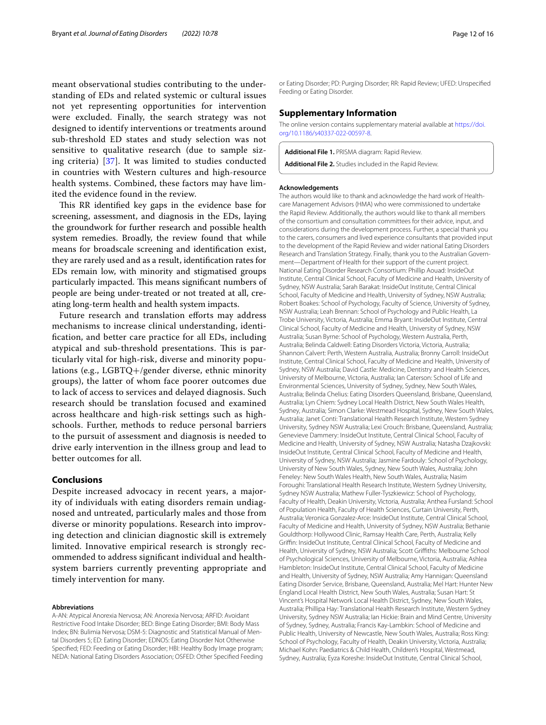meant observational studies contributing to the understanding of EDs and related systemic or cultural issues not yet representing opportunities for intervention were excluded. Finally, the search strategy was not designed to identify interventions or treatments around sub-threshold ED states and study selection was not sensitive to qualitative research (due to sample sizing criteria) [\[37](#page-13-22)]. It was limited to studies conducted in countries with Western cultures and high-resource health systems. Combined, these factors may have limited the evidence found in the review.

This RR identified key gaps in the evidence base for screening, assessment, and diagnosis in the EDs, laying the groundwork for further research and possible health system remedies. Broadly, the review found that while means for broadscale screening and identifcation exist, they are rarely used and as a result, identifcation rates for EDs remain low, with minority and stigmatised groups particularly impacted. This means significant numbers of people are being under-treated or not treated at all, creating long-term health and health system impacts.

Future research and translation efforts may address mechanisms to increase clinical understanding, identifcation, and better care practice for all EDs, including atypical and sub-threshold presentations. This is particularly vital for high-risk, diverse and minority populations (e.g., LGBTQ+/gender diverse, ethnic minority groups), the latter of whom face poorer outcomes due to lack of access to services and delayed diagnosis. Such research should be translation focused and examined across healthcare and high-risk settings such as highschools. Further, methods to reduce personal barriers to the pursuit of assessment and diagnosis is needed to drive early intervention in the illness group and lead to better outcomes for all.

## **Conclusions**

Despite increased advocacy in recent years, a majority of individuals with eating disorders remain undiagnosed and untreated, particularly males and those from diverse or minority populations. Research into improving detection and clinician diagnostic skill is extremely limited. Innovative empirical research is strongly recommended to address signifcant individual and healthsystem barriers currently preventing appropriate and timely intervention for many.

#### **Abbreviations**

A-AN: Atypical Anorexia Nervosa; AN: Anorexia Nervosa; ARFID: Avoidant Restrictive Food Intake Disorder; BED: Binge Eating Disorder; BMI: Body Mass Index; BN: Bulimia Nervosa; DSM-5: Diagnostic and Statistical Manual of Mental Disorders 5; ED: Eating Disorder; EDNOS: Eating Disorder Not Otherwise Specifed; FED: Feeding or Eating Disorder; HBI: Healthy Body Image program; NEDA: National Eating Disorders Association; OSFED: Other Specifed Feeding or Eating Disorder; PD: Purging Disorder; RR: Rapid Review; UFED: Unspecifed Feeding or Eating Disorder.

#### **Supplementary Information**

The online version contains supplementary material available at [https://doi.](https://doi.org/10.1186/s40337-022-00597-8) [org/10.1186/s40337-022-00597-8](https://doi.org/10.1186/s40337-022-00597-8).

<span id="page-11-1"></span><span id="page-11-0"></span>**Additional File 1.** PRISMA diagram: Rapid Review.

**Additional File 2.** Studies included in the Rapid Review.

#### **Acknowledgements**

The authors would like to thank and acknowledge the hard work of Healthcare Management Advisors (HMA) who were commissioned to undertake the Rapid Review. Additionally, the authors would like to thank all members of the consortium and consultation committees for their advice, input, and considerations during the development process. Further, a special thank you to the carers, consumers and lived experience consultants that provided input to the development of the Rapid Review and wider national Eating Disorders Research and Translation Strategy. Finally, thank you to the Australian Government—Department of Health for their support of the current project. National Eating Disorder Research Consortium: Phillip Aouad: InsideOut Institute, Central Clinical School, Faculty of Medicine and Health, University of Sydney, NSW Australia; Sarah Barakat: InsideOut Institute, Central Clinical School, Faculty of Medicine and Health, University of Sydney, NSW Australia; Robert Boakes: School of Psychology, Faculty of Science, University of Sydney, NSW Australia; Leah Brennan: School of Psychology and Public Health, La Trobe University, Victoria, Australia; Emma Bryant: InsideOut Institute, Central Clinical School, Faculty of Medicine and Health, University of Sydney, NSW Australia; Susan Byrne: School of Psychology, Western Australia, Perth, Australia; Belinda Caldwell: Eating Disorders Victoria, Victoria, Australia; Shannon Calvert: Perth, Western Australia, Australia; Bronny Carroll: InsideOut Institute, Central Clinical School, Faculty of Medicine and Health, University of Sydney, NSW Australia; David Castle: Medicine, Dentistry and Health Sciences, University of Melbourne, Victoria, Australia; Ian Caterson: School of Life and Environmental Sciences, University of Sydney, Sydney, New South Wales, Australia; Belinda Chelius: Eating Disorders Queensland, Brisbane, Queensland, Australia; Lyn Chiem: Sydney Local Health District, New South Wales Health, Sydney, Australia; Simon Clarke: Westmead Hospital, Sydney, New South Wales, Australia; Janet Conti: Translational Health Research Institute, Western Sydney University, Sydney NSW Australia; Lexi Crouch: Brisbane, Queensland, Australia; Genevieve Dammery: InsideOut Institute, Central Clinical School, Faculty of Medicine and Health, University of Sydney, NSW Australia; Natasha Dzajkovski: InsideOut Institute, Central Clinical School, Faculty of Medicine and Health, University of Sydney, NSW Australia; Jasmine Fardouly: School of Psychology, University of New South Wales, Sydney, New South Wales, Australia; John Feneley: New South Wales Health, New South Wales, Australia; Nasim Foroughi: Translational Health Research Institute, Western Sydney University, Sydney NSW Australia; Mathew Fuller-Tyszkiewicz: School of Psychology, Faculty of Health, Deakin University, Victoria, Australia; Anthea Fursland: School of Population Health, Faculty of Health Sciences, Curtain University, Perth, Australia; Veronica Gonzalez-Arce: InsideOut Institute, Central Clinical School, Faculty of Medicine and Health, University of Sydney, NSW Australia; Bethanie Gouldthorp: Hollywood Clinic, Ramsay Health Care, Perth, Australia; Kelly Grifn: InsideOut Institute, Central Clinical School, Faculty of Medicine and Health, University of Sydney, NSW Australia; Scott Grifths: Melbourne School of Psychological Sciences, University of Melbourne, Victoria, Australia; Ashlea Hambleton: InsideOut Institute, Central Clinical School, Faculty of Medicine and Health, University of Sydney, NSW Australia; Amy Hannigan: Queensland Eating Disorder Service, Brisbane, Queensland, Australia; Mel Hart: Hunter New England Local Health District, New South Wales, Australia; Susan Hart: St Vincent's Hospital Network Local Health District, Sydney, New South Wales, Australia; Phillipa Hay: Translational Health Research Institute, Western Sydney University, Sydney NSW Australia; Ian Hickie: Brain and Mind Centre, University of Sydney, Sydney, Australia; Francis Kay-Lambkin: School of Medicine and Public Health, University of Newcastle, New South Wales, Australia; Ross King: School of Psychology, Faculty of Health, Deakin University, Victoria, Australia; Michael Kohn: Paediatrics & Child Health, Children's Hospital, Westmead, Sydney, Australia; Eyza Koreshe: InsideOut Institute, Central Clinical School,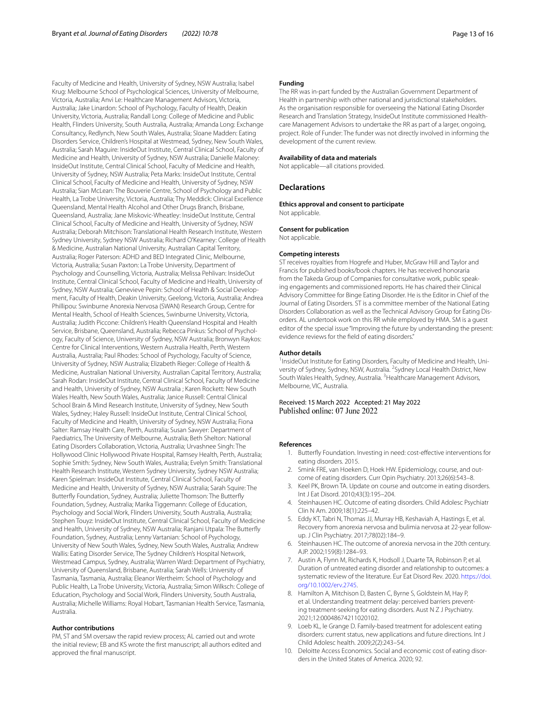Faculty of Medicine and Health, University of Sydney, NSW Australia; Isabel Krug: Melbourne School of Psychological Sciences, University of Melbourne, Victoria, Australia; Anvi Le: Healthcare Management Advisors, Victoria, Australia; Jake Linardon: School of Psychology, Faculty of Health, Deakin University, Victoria, Australia; Randall Long: College of Medicine and Public Health, Flinders University, South Australia, Australia; Amanda Long: Exchange Consultancy, Redlynch, New South Wales, Australia; Sloane Madden: Eating Disorders Service, Children's Hospital at Westmead, Sydney, New South Wales, Australia; Sarah Maguire: InsideOut Institute, Central Clinical School, Faculty of Medicine and Health, University of Sydney, NSW Australia; Danielle Maloney: InsideOut Institute, Central Clinical School, Faculty of Medicine and Health, University of Sydney, NSW Australia; Peta Marks: InsideOut Institute, Central Clinical School, Faculty of Medicine and Health, University of Sydney, NSW Australia; Sian McLean: The Bouverie Centre, School of Psychology and Public Health, La Trobe University, Victoria, Australia; Thy Meddick: Clinical Excellence Queensland, Mental Health Alcohol and Other Drugs Branch, Brisbane, Queensland, Australia; Jane Miskovic-Wheatley: InsideOut Institute, Central Clinical School, Faculty of Medicine and Health, University of Sydney, NSW Australia; Deborah Mitchison: Translational Health Research Institute, Western Sydney University, Sydney NSW Australia; Richard O'Kearney: College of Health & Medicine, Australian National University, Australian Capital Territory, Australia; Roger Paterson: ADHD and BED Integrated Clinic, Melbourne, Victoria, Australia; Susan Paxton: La Trobe University, Department of Psychology and Counselling, Victoria, Australia; Melissa Pehlivan: InsideOut Institute, Central Clinical School, Faculty of Medicine and Health, University of Sydney, NSW Australia; Genevieve Pepin: School of Health & Social Development, Faculty of Health, Deakin University, Geelong, Victoria, Australia; Andrea Phillipou: Swinburne Anorexia Nervosa (SWAN) Research Group, Centre for Mental Health, School of Health Sciences, Swinburne University, Victoria, Australia; Judith Piccone: Children's Health Queensland Hospital and Health Service, Brisbane, Queensland, Australia; Rebecca Pinkus: School of Psychology, Faculty of Science, University of Sydney, NSW Australia; Bronwyn Raykos: Centre for Clinical Interventions, Western Australia Health, Perth, Western Australia, Australia; Paul Rhodes: School of Psychology, Faculty of Science, University of Sydney, NSW Australia; Elizabeth Rieger: College of Health & Medicine, Australian National University, Australian Capital Territory, Australia; Sarah Rodan: InsideOut Institute, Central Clinical School, Faculty of Medicine and Health, University of Sydney, NSW Australia ; Karen Rockett: New South Wales Health, New South Wales, Australia; Janice Russell: Central Clinical School Brain & Mind Research Institute, University of Sydney, New South Wales, Sydney; Haley Russell: InsideOut Institute, Central Clinical School, Faculty of Medicine and Health, University of Sydney, NSW Australia; Fiona Salter: Ramsay Health Care, Perth, Australia; Susan Sawyer: Department of Paediatrics, The University of Melbourne, Australia; Beth Shelton: National Eating Disorders Collaboration, Victoria, Australia; Urvashnee Singh: The Hollywood Clinic Hollywood Private Hospital, Ramsey Health, Perth, Australia; Sophie Smith: Sydney, New South Wales, Australia; Evelyn Smith: Translational Health Research Institute, Western Sydney University, Sydney NSW Australia; Karen Spielman: InsideOut Institute, Central Clinical School, Faculty of Medicine and Health, University of Sydney, NSW Australia; Sarah Squire: The Butterfy Foundation, Sydney, Australia; Juliette Thomson: The Butterfy Foundation, Sydney, Australia; Marika Tiggemann: College of Education, Psychology and Social Work, Flinders University, South Australia, Australia; Stephen Touyz: InsideOut Institute, Central Clinical School, Faculty of Medicine and Health, University of Sydney, NSW Australia; Ranjani Utpala: The Butterfy Foundation, Sydney, Australia; Lenny Vartanian: School of Psychology, University of New South Wales, Sydney, New South Wales, Australia; Andrew Wallis: Eating Disorder Service, The Sydney Children's Hospital Network, Westmead Campus, Sydney, Australia; Warren Ward: Department of Psychiatry, University of Queensland, Brisbane, Australia; Sarah Wells: University of Tasmania, Tasmania, Australia; Eleanor Wertheim: School of Psychology and Public Health, La Trobe University, Victoria, Australia; Simon Wilksch: College of Education, Psychology and Social Work, Flinders University, South Australia, Australia; Michelle Williams: Royal Hobart, Tasmanian Health Service, Tasmania, Australia.

#### **Author contributions**

PM, ST and SM oversaw the rapid review process; AL carried out and wrote the initial review; EB and KS wrote the frst manuscript; all authors edited and approved the fnal manuscript.

#### **Funding**

The RR was in-part funded by the Australian Government Department of Health in partnership with other national and jurisdictional stakeholders. As the organisation responsible for overseeing the National Eating Disorder Research and Translation Strategy, InsideOut Institute commissioned Healthcare Management Advisors to undertake the RR as part of a larger, ongoing, project. Role of Funder: The funder was not directly involved in informing the development of the current review.

#### **Availability of data and materials**

Not applicable—all citations provided.

#### **Declarations**

**Ethics approval and consent to participate** Not applicable.

#### **Consent for publication**

Not applicable.

#### **Competing interests**

ST receives royalties from Hogrefe and Huber, McGraw Hill and Taylor and Francis for published books/book chapters. He has received honoraria from the Takeda Group of Companies for consultative work, public speaking engagements and commissioned reports. He has chaired their Clinical Advisory Committee for Binge Eating Disorder. He is the Editor in Chief of the Journal of Eating Disorders. ST is a committee member of the National Eating Disorders Collaboration as well as the Technical Advisory Group for Eating Disorders. AL undertook work on this RR while employed by HMA. SM is a guest editor of the special issue "Improving the future by understanding the present: evidence reviews for the feld of eating disorders."

#### **Author details**

<sup>1</sup> InsideOut Institute for Eating Disorders, Faculty of Medicine and Health, University of Sydney, Sydney, NSW, Australia. <sup>2</sup>Sydney Local Health District, New South Wales Health, Sydney, Australia. <sup>3</sup> Healthcare Management Advisors, Melbourne, VIC, Australia.

Received: 15 March 2022 Accepted: 21 May 2022 Published online: 07 June 2022

#### <span id="page-12-0"></span>**References**

- 1. Butterfy Foundation. Investing in need: cost-efective interventions for eating disorders. 2015.
- 2. Smink FRE, van Hoeken D, Hoek HW. Epidemiology, course, and outcome of eating disorders. Curr Opin Psychiatry. 2013;26(6):543–8.
- 3. Keel PK, Brown TA. Update on course and outcome in eating disorders. Int J Eat Disord. 2010;43(3):195–204.
- <span id="page-12-1"></span>4. Steinhausen HC. Outcome of eating disorders. Child Adolesc Psychiatr Clin N Am. 2009;18(1):225–42.
- 5. Eddy KT, Tabri N, Thomas JJ, Murray HB, Keshaviah A, Hastings E, et al. Recovery from anorexia nervosa and bulimia nervosa at 22-year followup. J Clin Psychiatry. 2017;78(02):184–9.
- <span id="page-12-2"></span>Steinhausen HC. The outcome of anorexia nervosa in the 20th century. AJP. 2002;159(8):1284–93.
- <span id="page-12-3"></span>Austin A, Flynn M, Richards K, Hodsoll J, Duarte TA, Robinson P, et al. Duration of untreated eating disorder and relationship to outcomes: a systematic review of the literature. Eur Eat Disord Rev. 2020. [https://doi.](https://doi.org/10.1002/erv.2745) [org/10.1002/erv.2745](https://doi.org/10.1002/erv.2745).
- <span id="page-12-4"></span>8. Hamilton A, Mitchison D, Basten C, Byrne S, Goldstein M, Hay P, et al. Understanding treatment delay: perceived barriers preventing treatment-seeking for eating disorders. Aust N Z J Psychiatry. 2021;12:00048674211020102.
- <span id="page-12-5"></span>9. Loeb KL, le Grange D. Family-based treatment for adolescent eating disorders: current status, new applications and future directions. Int J Child Adolesc health. 2009;2(2):243–54.
- 10. Deloitte Access Economics. Social and economic cost of eating disorders in the United States of America. 2020; 92.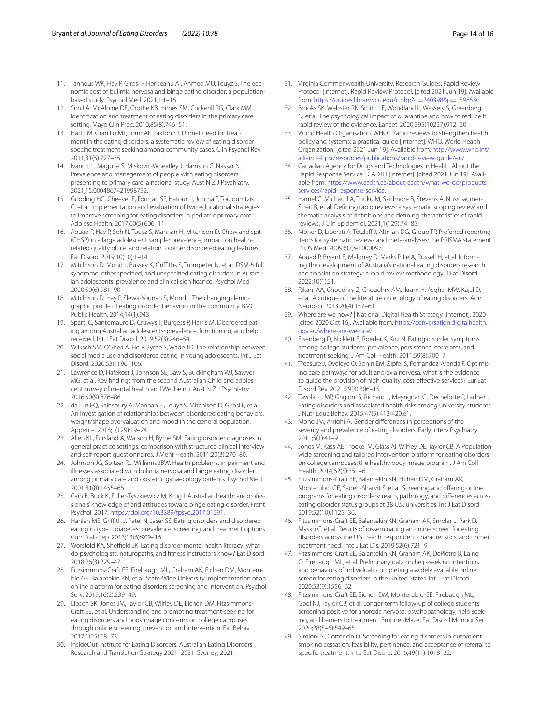- <span id="page-13-0"></span>11. Tannous WK, Hay P, Girosi F, Heriseanu AI, Ahmed MU, Touyz S. The economic cost of bulimia nervosa and binge eating disorder: a populationbased study. Psychol Med. 2021;1:1–15.
- <span id="page-13-1"></span>12. Sim LA, McAlpine DE, Grothe KB, Himes SM, Cockerill RG, Clark MM. Identifcation and treatment of eating disorders in the primary care setting. Mayo Clin Proc. 2010;85(8):746–51.
- <span id="page-13-35"></span>13. Hart LM, Granillo MT, Jorm AF, Paxton SJ. Unmet need for treatment in the eating disorders: a systematic review of eating disorder specifc treatment seeking among community cases. Clin Psychol Rev. 2011;31(5):727–35.
- <span id="page-13-2"></span>14. Ivancic L, Maguire S, Miskovic-Wheatley J, Harrison C, Nassar N. Prevalence and management of people with eating disorders presenting to primary care: a national study. Aust N Z J Psychiatry. 2021;15:0004867421998752.
- <span id="page-13-3"></span>15. Gooding HC, Cheever E, Forman SF, Hatoun J, Jooma F, Touloumtzis C, et al. Implementation and evaluation of two educational strategies to improve screening for eating disorders in pediatric primary care. J Adolesc Health. 2017;60(5):606–11.
- <span id="page-13-4"></span>16. Aouad P, Hay P, Soh N, Touyz S, Mannan H, Mitchison D. Chew and spit (CHSP) in a large adolescent sample: prevalence, impact on healthrelated quality of life, and relation to other disordered eating features. Eat Disord. 2019;10(10):1–14.
- <span id="page-13-36"></span>17. Mitchison D, Mond J, Bussey K, Griffiths S, Trompeter N, et al. DSM-5 full syndrome, other specifed, and unspecifed eating disorders in Australian adolescents: prevalence and clinical signifcance. Psychol Med. 2020;50(6):981–90.
- <span id="page-13-5"></span>18. Mitchison D, Hay P, Slewa-Younan S, Mond J. The changing demographic profle of eating disorder behaviors in the community. BMC Public Health. 2014;14(1):943.
- <span id="page-13-6"></span>19. Sparti C, Santomauro D, Cruwys T, Burgess P, Harris M. Disordered eating among Australian adolescents: prevalence, functioning, and help received. Int J Eat Disord. 2019;52(3):246–54.
- 20. Wilksch SM, O'Shea A, Ho P, Byrne S, Wade TD. The relationship between social media use and disordered eating in young adolescents. Int J Eat Disord. 2020;53(1):96–106.
- <span id="page-13-7"></span>21. Lawrence D, Hafekost J, Johnson SE, Saw S, Buckingham WJ, Sawyer MG, et al. Key fndings from the second Australian Child and adolescent survey of mental health and Wellbeing. Aust N Z J Psychiatry. 2016;50(9):876–86.
- <span id="page-13-8"></span>22. da Luz FQ, Sainsbury A, Mannan H, Touyz S, Mitchison D, Girosi F, et al. An investigation of relationships between disordered eating behaviors, weight/shape overvaluation and mood in the general population. Appetite. 2018;1(129):19–24.
- <span id="page-13-9"></span>23. Allen KL, Fursland A, Watson H, Byrne SM. Eating disorder diagnoses in general practice settings: comparison with structured clinical interview and self-report questionnaires. J Ment Health. 2011;20(3):270–80.
- 24. Johnson JG, Spitzer RL, Williams JBW. Health problems, impairment and illnesses associated with bulimia nervosa and binge eating disorder among primary care and obstetric gynaecology patients. Psychol Med. 2001;31(8):1455–66.
- <span id="page-13-10"></span>25. Cain B, Buck K, Fuller-Tyszkiewicz M, Krug I. Australian healthcare professionals' knowledge of and attitudes toward binge eating disorder. Front Psychol. 2017. [https://doi.org/10.3389/fpsyg.2017.01291.](https://doi.org/10.3389/fpsyg.2017.01291)
- <span id="page-13-11"></span>26. Hanlan ME, Griffith J, Patel N, Jaser SS. Eating disorders and disordered eating in type 1 diabetes: prevalence, screening, and treatment options. Curr Diab Rep. 2013;13(6):909–16.
- <span id="page-13-12"></span>27. Worsfold KA, Sheffield JK. Eating disorder mental health literacy: what do psychologists, naturopaths, and ftness instructors know? Eat Disord. 2018;26(3):229–47.
- <span id="page-13-13"></span>Fitzsimmons-Craft EE, Firebaugh ML, Graham AK, Eichen DM, Monterubio GE, Balantekin KN, et al. State-Wide University implementation of an online platform for eating disorders screening and intervention. Psychol Serv. 2019;16(2):239–49.
- <span id="page-13-14"></span>29. Lipson SK, Jones JM, Taylor CB, Wilfey DE, Eichen DM, Fitzsimmons-Craft EE, et al. Understanding and promoting treatment-seeking for eating disorders and body image concerns on college campuses through online screening, prevention and intervention. Eat Behav. 2017;1(25):68–73.
- <span id="page-13-15"></span>30. InsideOut Institute for Eating Disorders. Australian Eating Disorders Research and Translation Strategy 2021–2031. Sydney; 2021.
- <span id="page-13-16"></span>31. Virginia Commonwealth University. Research Guides: Rapid Review Protocol [Internet]. Rapid Review Protocol. [cited 2021 Jun 19]. Available from: [https://guides.library.vcu.edu/c.php?g](https://guides.library.vcu.edu/c.php?g=240398&p=1598530)=240398&p=1598530.
- <span id="page-13-17"></span>32. Brooks SK, Webster RK, Smith LE, Woodland L, Wessely S, Greenberg N, et al. The psychological impact of quarantine and how to reduce it: rapid review of the evidence. Lancet. 2020;395(10227):912–20.
- <span id="page-13-18"></span>33. World Health Organisation. WHO | Rapid reviews to strengthen health policy and systems: a practical guide [Internet]. WHO. World Health Organization; [cited 2021 Jun 19]. Available from: [http://www.who.int/](http://www.who.int/alliance-hpsr/resources/publications/rapid-review-guide/en/) [alliance-hpsr/resources/publications/rapid-review-guide/en/.](http://www.who.int/alliance-hpsr/resources/publications/rapid-review-guide/en/)
- <span id="page-13-19"></span>34. Canadian Agency for Drugs and Technologies in Health. About the Rapid Response Service | CADTH [Internet]. [cited 2021 Jun 19]. Available from: [https://www.cadth.ca/about-cadth/what-we-do/products](https://www.cadth.ca/about-cadth/what-we-do/products-services/rapid-response-service)[services/rapid-response-service](https://www.cadth.ca/about-cadth/what-we-do/products-services/rapid-response-service).
- <span id="page-13-20"></span>35. Hamel C, Michaud A, Thuku M, Skidmore B, Stevens A, Nussbaumer-Streit B, et al. Defning rapid reviews: a systematic scoping review and thematic analysis of defnitions and defning characteristics of rapid reviews. J Clin Epidemiol. 2021;1(129):74–85.
- <span id="page-13-21"></span>36. Moher D, Liberati A, Tetzlaff J, Altman DG, Group TP. Preferred reporting items for systematic reviews and meta-analyses: the PRISMA statement. PLOS Med. 2009;6(7):e1000097.
- <span id="page-13-22"></span>37. Aouad P, Bryant E, Maloney D, Marks P, Le A, Russell H, et al. Informing the development of Australia's national eating disorders research and translation strategy: a rapid review methodology. J Eat Disord. 2022;10(1):31.
- <span id="page-13-23"></span>38. Rikani AA, Choudhry Z, Choudhry AM, Ikram H, Asghar MW, Kajal D, et al. A critique of the literature on etiology of eating disorders. Ann Neurosci. 2013;20(4):157–61.
- <span id="page-13-24"></span>39. Where are we now? | National Digital Health Strategy [Internet]. 2020 [cited 2020 Oct 16]. Available from: [https://conversation.digitalhealth.](https://conversation.digitalhealth.gov.au/where-are-we-now) [gov.au/where-are-we-now](https://conversation.digitalhealth.gov.au/where-are-we-now).
- <span id="page-13-25"></span>40. Eisenberg D, Nicklett E, Roeder K, Kirz N. Eating disorder symptoms among college students: prevalence, persistence, correlates, and treatment-seeking. J Am Coll Health. 2011;59(8):700–7.
- <span id="page-13-26"></span>41. Treasure J, Oyeleye O, Bonin EM, Zipfel S, Fernandez-Aranda F. Optimising care pathways for adult anorexia nervosa: what is the evidence to guide the provision of high-quality, cost-efective services? Eur Eat Disord Rev. 2021;29(3):306–15.
- <span id="page-13-27"></span>42. Tavolacci MP, Grigioni S, Richard L, Meyrignac G, Déchelotte P, Ladner J. Eating disorders and associated health risks among university students. J Nutr Educ Behav. 2015;47(5):412-420.e1.
- <span id="page-13-28"></span>43. Mond JM, Arrighi A. Gender diferences in perceptions of the severity and prevalence of eating disorders. Early Interv Psychiatry. 2011;5(1):41–9.
- <span id="page-13-29"></span>44. Jones M, Kass AE, Trockel M, Glass AI, Wilfey DE, Taylor CB. A Populationwide screening and tailored intervention platform for eating disorders on college campuses: the healthy body image program. J Am Coll Health. 2014;62(5):351–6.
- <span id="page-13-30"></span>45. Fitzsimmons-Craft EE, Balantekin KN, Eichen DM, Graham AK, Monterubio GE, Sadeh-Sharvit S, et al. Screening and ofering online programs for eating disorders: reach, pathology, and diferences across eating disorder status groups at 28 U.S. universities. Int J Eat Disord. 2019;52(10):1125–36.
- <span id="page-13-31"></span>46. Fitzsimmons-Craft EE, Balantekin KN, Graham AK, Smolar L, Park D, Mysko C, et al. Results of disseminating an online screen for eating disorders across the U.S.: reach, respondent characteristics, and unmet treatment need. Inte J Eat Dis. 2019;52(6):721–9.
- <span id="page-13-32"></span>47. Fitzsimmons-Craft EE, Balantekin KN, Graham AK, DePietro B, Laing O, Firebaugh ML, et al. Preliminary data on help-seeking intentions and behaviors of individuals completing a widely available online screen for eating disorders in the United States. Int J Eat Disord. 2020;53(9):1556–62.
- <span id="page-13-33"></span>48. Fitzsimmons-Craft EE, Eichen DM, Monterubio GE, Firebaugh ML, Goel NJ, Taylor CB, et al. Longer-term follow-up of college students screening positive for anorexia nervosa: psychopathology, help seeking, and barriers to treatment. Brunner-Mazel Eat Disord Monogr Ser. 2020;28(5–6):549–65.
- <span id="page-13-34"></span>49. Simioni N, Cottencin O. Screening for eating disorders in outpatient smoking cessation: feasibility, pertinence, and acceptance of referral to specifc treatment. Int J Eat Disord. 2016;49(11):1018–22.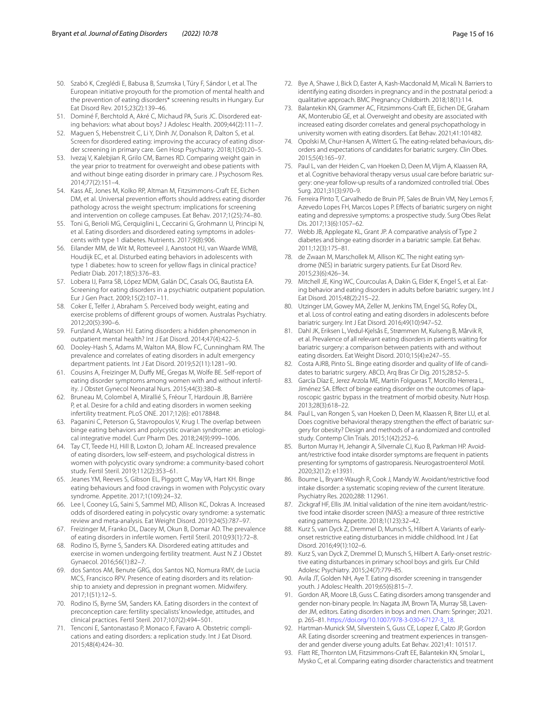- <span id="page-14-0"></span>50. Szabó K, Czeglédi E, Babusa B, Szumska I, Túry F, Sándor I, et al. The European initiative proyouth for the promotion of mental health and the prevention of eating disorders\* screening results in Hungary. Eur Eat Disord Rev. 2015;23(2):139–46.
- <span id="page-14-1"></span>51. Dominé F, Berchtold A, Akré C, Michaud PA, Suris JC. Disordered eating behaviors: what about boys? J Adolesc Health. 2009;44(2):111–7.
- <span id="page-14-2"></span>52. Maguen S, Hebenstreit C, Li Y, Dinh JV, Donalson R, Dalton S, et al. Screen for disordered eating: improving the accuracy of eating disorder screening in primary care. Gen Hosp Psychiatry. 2018;1(50):20–5.
- <span id="page-14-3"></span>53. Ivezaj V, Kalebjian R, Grilo CM, Barnes RD. Comparing weight gain in the year prior to treatment for overweight and obese patients with and without binge eating disorder in primary care. J Psychosom Res. 2014;77(2):151–4.
- <span id="page-14-4"></span>54. Kass AE, Jones M, Kolko RP, Altman M, Fitzsimmons-Craft EE, Eichen DM, et al. Universal prevention efforts should address eating disorder pathology across the weight spectrum: implications for screening and intervention on college campuses. Eat Behav. 2017;1(25):74–80.
- <span id="page-14-5"></span>55. Toni G, Berioli MG, Cerquiglini L, Ceccarini G, Grohmann U, Principi N, et al. Eating disorders and disordered eating symptoms in adolescents with type 1 diabetes. Nutrients. 2017;9(8):906.
- <span id="page-14-6"></span>56. Eilander MM, de Wit M, Rotteveel J, Aanstoot HJ, van Waarde WMB, Houdijk EC, et al. Disturbed eating behaviors in adolescents with type 1 diabetes: how to screen for yellow fags in clinical practice? Pediatr Diab. 2017;18(5):376–83.
- <span id="page-14-7"></span>57. Lobera IJ, Parra SB, López MDM, Galán DC, Casals OG, Bautista EA. Screening for eating disorders in a psychiatric outpatient population. Eur J Gen Pract. 2009;15(2):107–11.
- <span id="page-14-8"></span>58. Coker E, Telfer J, Abraham S. Perceived body weight, eating and exercise problems of diferent groups of women. Australas Psychiatry. 2012;20(5):390–6.
- <span id="page-14-9"></span>59. Fursland A, Watson HJ. Eating disorders: a hidden phenomenon in outpatient mental health? Int J Eat Disord. 2014;47(4):422–5.
- <span id="page-14-10"></span>60. Dooley-Hash S, Adams M, Walton MA, Blow FC, Cunningham RM. The prevalence and correlates of eating disorders in adult emergency department patients. Int J Eat Disord. 2019;52(11):1281–90.
- <span id="page-14-11"></span>61. Cousins A, Freizinger M, Dufy ME, Gregas M, Wolfe BE. Self-report of eating disorder symptoms among women with and without infertility. J Obstet Gynecol Neonatal Nurs. 2015;44(3):380–8.
- <span id="page-14-12"></span>62. Bruneau M, Colombel A, Mirallié S, Fréour T, Hardouin JB, Barrière P, et al. Desire for a child and eating disorders in women seeking infertility treatment. PLoS ONE. 2017;12(6): e0178848.
- <span id="page-14-13"></span>63. Paganini C, Peterson G, Stavropoulos V, Krug I. The overlap between binge eating behaviors and polycystic ovarian syndrome: an etiological integrative model. Curr Pharm Des. 2018;24(9):999–1006.
- <span id="page-14-14"></span>64. Tay CT, Teede HJ, Hill B, Loxton D, Joham AE. Increased prevalence of eating disorders, low self-esteem, and psychological distress in women with polycystic ovary syndrome: a community-based cohort study. Fertil Steril. 2019;112(2):353–61.
- <span id="page-14-15"></span>65. Jeanes YM, Reeves S, Gibson EL, Piggott C, May VA, Hart KH. Binge eating behaviours and food cravings in women with Polycystic ovary syndrome. Appetite. 2017;1(109):24–32.
- <span id="page-14-16"></span>66. Lee I, Cooney LG, Saini S, Sammel MD, Allison KC, Dokras A. Increased odds of disordered eating in polycystic ovary syndrome: a systematic review and meta-analysis. Eat Weight Disord. 2019;24(5):787–97.
- <span id="page-14-17"></span>67. Freizinger M, Franko DL, Dacey M, Okun B, Domar AD. The prevalence of eating disorders in infertile women. Fertil Steril. 2010;93(1):72–8.
- <span id="page-14-18"></span>68. Rodino IS, Byrne S, Sanders KA. Disordered eating attitudes and exercise in women undergoing fertility treatment. Aust N Z J Obstet Gynaecol. 2016;56(1):82–7.
- <span id="page-14-19"></span>69. dos Santos AM, Benute GRG, dos Santos NO, Nomura RMY, de Lucia MCS, Francisco RPV. Presence of eating disorders and its relationship to anxiety and depression in pregnant women. Midwifery. 2017;1(51):12–5.
- <span id="page-14-22"></span>70. Rodino IS, Byrne SM, Sanders KA. Eating disorders in the context of preconception care: fertility specialists' knowledge, attitudes, and clinical practices. Fertil Steril. 2017;107(2):494–501.
- <span id="page-14-20"></span>Tenconi E, Santonastaso P, Monaco F, Favaro A. Obstetric complications and eating disorders: a replication study. Int J Eat Disord. 2015;48(4):424–30.
- <span id="page-14-21"></span>72. Bye A, Shawe J, Bick D, Easter A, Kash-Macdonald M, Micali N. Barriers to identifying eating disorders in pregnancy and in the postnatal period: a qualitative approach. BMC Pregnancy Childbirth. 2018;18(1):114.
- <span id="page-14-23"></span>73. Balantekin KN, Grammer AC, Fitzsimmons-Craft EE, Eichen DE, Graham AK, Monterubio GE, et al. Overweight and obesity are associated with increased eating disorder correlates and general psychopathology in university women with eating disorders. Eat Behav. 2021;41:101482.
- <span id="page-14-24"></span>74. Opolski M, Chur-Hansen A, Wittert G. The eating-related behaviours, disorders and expectations of candidates for bariatric surgery. Clin Obes. 2015;5(4):165–97.
- <span id="page-14-25"></span>75. Paul L, van der Heiden C, van Hoeken D, Deen M, Vlijm A, Klaassen RA, et al. Cognitive behavioral therapy versus usual care before bariatric surgery: one-year follow-up results of a randomized controlled trial. Obes Surg. 2021;31(3):970–9.
- <span id="page-14-26"></span>76. Ferreira Pinto T, Carvalhedo de Bruin PF, Sales de Bruin VM, Ney Lemos F, Azevedo Lopes FH, Marcos Lopes P. Efects of bariatric surgery on night eating and depressive symptoms: a prospective study. Surg Obes Relat Dis. 2017;13(6):1057–62.
- 77. Webb JB, Applegate KL, Grant JP. A comparative analysis of Type 2 diabetes and binge eating disorder in a bariatric sample. Eat Behav. 2011;12(3):175–81.
- 78. de Zwaan M, Marschollek M, Allison KC. The night eating syndrome (NES) in bariatric surgery patients. Eur Eat Disord Rev. 2015;23(6):426–34.
- 79. Mitchell JE, King WC, Courcoulas A, Dakin G, Elder K, Engel S, et al. Eating behavior and eating disorders in adults before bariatric surgery. Int J Eat Disord. 2015;48(2):215–22.
- <span id="page-14-28"></span>80. Utzinger LM, Gowey MA, Zeller M, Jenkins TM, Engel SG, Rofey DL, et al. Loss of control eating and eating disorders in adolescents before bariatric surgery. Int J Eat Disord. 2016;49(10):947–52.
- <span id="page-14-27"></span>81. Dahl JK, Eriksen L, Vedul-Kjelsås E, Strømmen M, Kulseng B, Mårvik R, et al. Prevalence of all relevant eating disorders in patients waiting for bariatric surgery: a comparison between patients with and without eating disorders. Eat Weight Disord. 2010;15(4):e247–55.
- <span id="page-14-29"></span>82. Costa AJRB, Pinto SL. Binge eating disorder and quality of life of candidates to bariatric surgery. ABCD, Arq Bras Cir Dig. 2015;28:52–5.
- <span id="page-14-30"></span>83. García Díaz E, Jerez Arzola ME, Martín Folgueras T, Morcillo Herrera L, Jiménez SA. Efect of binge eating disorder on the outcomes of laparoscopic gastric bypass in the treatment of morbid obesity. Nutr Hosp. 2013;28(3):618–22.
- <span id="page-14-31"></span>84. Paul L, van Rongen S, van Hoeken D, Deen M, Klaassen R, Biter LU, et al. Does cognitive behavioral therapy strengthen the effect of bariatric surgery for obesity? Design and methods of a randomized and controlled study. Contemp Clin Trials. 2015;1(42):252–6.
- <span id="page-14-32"></span>85. Burton Murray H, Jehangir A, Silvernale CJ, Kuo B, Parkman HP. Avoidant/restrictive food intake disorder symptoms are frequent in patients presenting for symptoms of gastroparesis. Neurogastroenterol Motil. 2020;32(12): e13931.
- <span id="page-14-33"></span>86. Bourne L, Bryant-Waugh R, Cook J, Mandy W. Avoidant/restrictive food intake disorder: a systematic scoping review of the current literature. Psychiatry Res. 2020;288: 112961.
- <span id="page-14-34"></span>87. Zickgraf HF, Ellis JM. Initial validation of the nine item avoidant/restrictive food intake disorder screen (NIAS): a measure of three restrictive eating patterns. Appetite. 2018;1(123):32–42.
- <span id="page-14-40"></span>Kurz S, van Dyck Z, Dremmel D, Munsch S, Hilbert A. Variants of earlyonset restrictive eating disturbances in middle childhood. Int J Eat Disord. 2016;49(1):102–6.
- <span id="page-14-35"></span>89. Kurz S, van Dyck Z, Dremmel D, Munsch S, Hilbert A. Early-onset restrictive eating disturbances in primary school boys and girls. Eur Child Adolesc Psychiatry. 2015;24(7):779–85.
- <span id="page-14-36"></span>90. Avila JT, Golden NH, Aye T. Eating disorder screening in transgender youth. J Adolesc Health. 2019;65(6):815–7.
- <span id="page-14-37"></span>91. Gordon AR, Moore LB, Guss C, Eating disorders among transgender and gender non-binary people. In: Nagata JM, Brown TA, Murray SB, Lavender JM, editors. Eating disorders in boys and men. Cham: Springer; 2021. p. 265–81. [https://doi.org/10.1007/978-3-030-67127-3\\_18.](https://doi.org/10.1007/978-3-030-67127-3_18)
- <span id="page-14-38"></span>92. Hartman-Munick SM, Silverstein S, Guss CE, Lopez E, Calzo JP, Gordon AR. Eating disorder screening and treatment experiences in transgender and gender diverse young adults. Eat Behav. 2021;41: 101517.
- <span id="page-14-39"></span>93. Flatt RE, Thornton LM, Fitzsimmons-Craft EE, Balantekin KN, Smolar L, Mysko C, et al. Comparing eating disorder characteristics and treatment